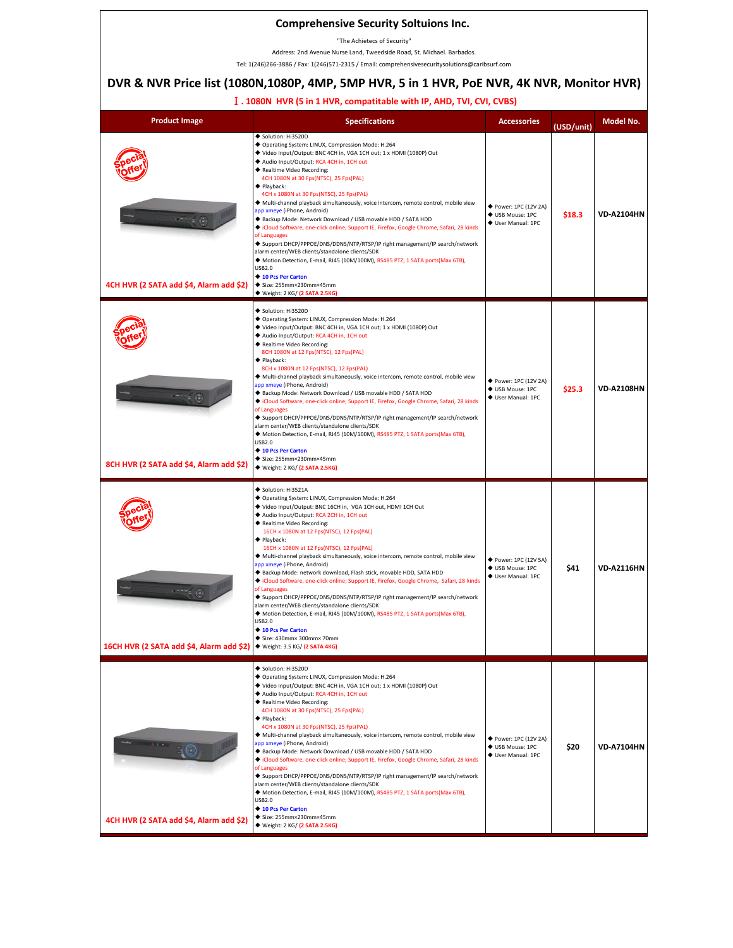#### **Comprehensive Security Soltuions Inc.**

"The Achietecs of Security"

Address: 2nd Avenue Nurse Land, Tweedside Road, St. Michael. Barbados.

Tel: 1(246)266-3886 / Fax: 1(246)571-2315 / Email: comprehensivesecuritysolutions@caribsurf.com

# **DVR & NVR Price list (1080N,1080P, 4MP, 5MP HVR, 5 in 1 HVR, PoE NVR, 4K NVR, Monitor HVR)**

### Ⅰ**. 1080N HVR (5 in 1 HVR, compatitable with IP, AHD, TVI, CVI, CVBS)**

| <b>Product Image</b>                                                    | <b>Specifications</b>                                                                                                                                                                                                                                                                                                                                                                                                                                                                                                                                                                                                                                                                                                                                                                                                                                                                                                                                                   | <b>Accessories</b>                                              | (USD/unit) | Model No.         |
|-------------------------------------------------------------------------|-------------------------------------------------------------------------------------------------------------------------------------------------------------------------------------------------------------------------------------------------------------------------------------------------------------------------------------------------------------------------------------------------------------------------------------------------------------------------------------------------------------------------------------------------------------------------------------------------------------------------------------------------------------------------------------------------------------------------------------------------------------------------------------------------------------------------------------------------------------------------------------------------------------------------------------------------------------------------|-----------------------------------------------------------------|------------|-------------------|
| 4CH HVR (2 SATA add \$4, Alarm add \$2)                                 | Solution: Hi3520D<br>◆ Operating System: LINUX, Compression Mode: H.264<br>◆ Video Input/Output: BNC 4CH in, VGA 1CH out; 1 x HDMI (1080P) Out<br>Audio Input/Output: RCA 4CH in, 1CH out<br>◆ Realtime Video Recording:<br>4CH 1080N at 30 Fps(NTSC), 25 Fps(PAL)<br>$\blacklozenge$ Playback:<br>4CH x 1080N at 30 Fps(NTSC), 25 Fps(PAL)<br>◆ Multi-channel playback simultaneously, voice intercom, remote control, mobile view<br>app xmeye (iPhone, Android)<br>◆ Backup Mode: Network Download / USB movable HDD / SATA HDD<br>Cloud Software, one-click online; Support IE, Firefox, Google Chrome, Safari, 28 kinds<br>of Languages<br>◆ Support DHCP/PPPOE/DNS/DDNS/NTP/RTSP/IP right management/IP search/network<br>alarm center/WEB clients/standalone clients/SDK<br>◆ Motion Detection, E-mail, RJ45 (10M/100M), RS485 PTZ, 1 SATA ports(Max 6TB),<br><b>USB2.0</b><br>◆ 10 Pcs Per Carton<br>◆ Size: 255mm×230mm×45mm<br>◆ Weight: 2 KG/ (2 SATA 2.5KG) | ◆ Power: 1PC (12V 2A)<br>♦ USB Mouse: 1PC<br>♦ User Manual: 1PC | \$18.3     | <b>VD-A2104HN</b> |
| 8CH HVR (2 SATA add \$4, Alarm add \$2)                                 | Solution: Hi3520D<br>◆ Operating System: LINUX, Compression Mode: H.264<br>◆ Video Input/Output: BNC 4CH in, VGA 1CH out; 1 x HDMI (1080P) Out<br>Audio Input/Output: RCA 4CH in, 1CH out<br>◆ Realtime Video Recording:<br>8CH 1080N at 12 Fps(NTSC), 12 Fps(PAL)<br>$\blacklozenge$ Playback:<br>8CH x 1080N at 12 Fps(NTSC), 12 Fps(PAL)<br>◆ Multi-channel playback simultaneously, voice intercom, remote control, mobile view<br>app xmeye (iPhone, Android)<br>◆ Backup Mode: Network Download / USB movable HDD / SATA HDD<br>Cloud Software, one-click online; Support IE, Firefox, Google Chrome, Safari, 28 kinds<br>of Languages<br>◆ Support DHCP/PPPOE/DNS/DDNS/NTP/RTSP/IP right management/IP search/network<br>alarm center/WEB clients/standalone clients/SDK<br>◆ Motion Detection, E-mail, RJ45 (10M/100M), RS485 PTZ, 1 SATA ports(Max 6TB),<br>USB2.0<br>◆ 10 Pcs Per Carton<br>◆ Size: 255mm×230mm×45mm<br>◆ Weight: 2 KG/ (2 SATA 2.5KG)        | ◆ Power: 1PC (12V 2A)<br>♦ USB Mouse: 1PC<br>♦ User Manual: 1PC | \$25.3     | <b>VD-A2108HN</b> |
| 16CH HVR (2 SATA add \$4, Alarm add \$2) · Weight: 3.5 KG/ (2 SATA 4KG) | Solution: Hi3521A<br>◆ Operating System: LINUX, Compression Mode: H.264<br>◆ Video Input/Output: BNC 16CH in, VGA 1CH out, HDMI 1CH Out<br>Audio Input/Output: RCA 2CH in, 1CH out<br>◆ Realtime Video Recording:<br>16CH x 1080N at 12 Fps(NTSC), 12 Fps(PAL)<br>$\blacklozenge$ Playback:<br>16CH x 1080N at 12 Fps(NTSC), 12 Fps(PAL)<br>◆ Multi-channel playback simultaneously, voice intercom, remote control, mobile view<br>app xmeye (iPhone, Android)<br>◆ Backup Mode: network download, Flash stick, movable HDD, SATA HDD<br>Cloud Software, one-click online; Support IE, Firefox, Google Chrome, Safari, 28 kinds<br>of Languages<br>◆ Support DHCP/PPPOE/DNS/DDNS/NTP/RTSP/IP right management/IP search/network<br>alarm center/WEB clients/standalone clients/SDK<br>◆ Motion Detection, E-mail, RJ45 (10M/100M), RS485 PTZ, 1 SATA ports(Max 6TB),<br>USB2.0<br>◆ 10 Pcs Per Carton<br>Size: 430mm× 300mm× 70mm                                      | ◆ Power: 1PC (12V 5A)<br>♦ USB Mouse: 1PC<br>♦ User Manual: 1PC | \$41       | <b>VD-A2116HN</b> |
| 4CH HVR (2 SATA add \$4, Alarm add \$2)                                 | Solution: Hi3520D<br>◆ Operating System: LINUX, Compression Mode: H.264<br>◆ Video Input/Output: BNC 4CH in, VGA 1CH out; 1 x HDMI (1080P) Out<br>◆ Audio Input/Output: RCA 4CH in, 1CH out<br>◆ Realtime Video Recording:<br>4CH 1080N at 30 Fps(NTSC), 25 Fps(PAL)<br>◆ Playback:<br>4CH x 1080N at 30 Fps(NTSC), 25 Fps(PAL)<br>◆ Multi-channel playback simultaneously, voice intercom, remote control, mobile view<br>app xmeye (iPhone, Android)<br>◆ Backup Mode: Network Download / USB movable HDD / SATA HDD<br>Cloud Software, one-click online; Support IE, Firefox, Google Chrome, Safari, 28 kinds<br>of Languages<br>◆ Support DHCP/PPPOE/DNS/DDNS/NTP/RTSP/IP right management/IP search/network<br>alarm center/WEB clients/standalone clients/SDK<br>◆ Motion Detection, E-mail, RJ45 (10M/100M), RS485 PTZ, 1 SATA ports(Max 6TB),<br><b>USB2.0</b><br>◆ 10 Pcs Per Carton<br>◆ Size: 255mm×230mm×45mm<br>◆ Weight: 2 KG/ (2 SATA 2.5KG)             | ◆ Power: 1PC (12V 2A)<br>♦ USB Mouse: 1PC<br>♦ User Manual: 1PC | \$20       | <b>VD-A7104HN</b> |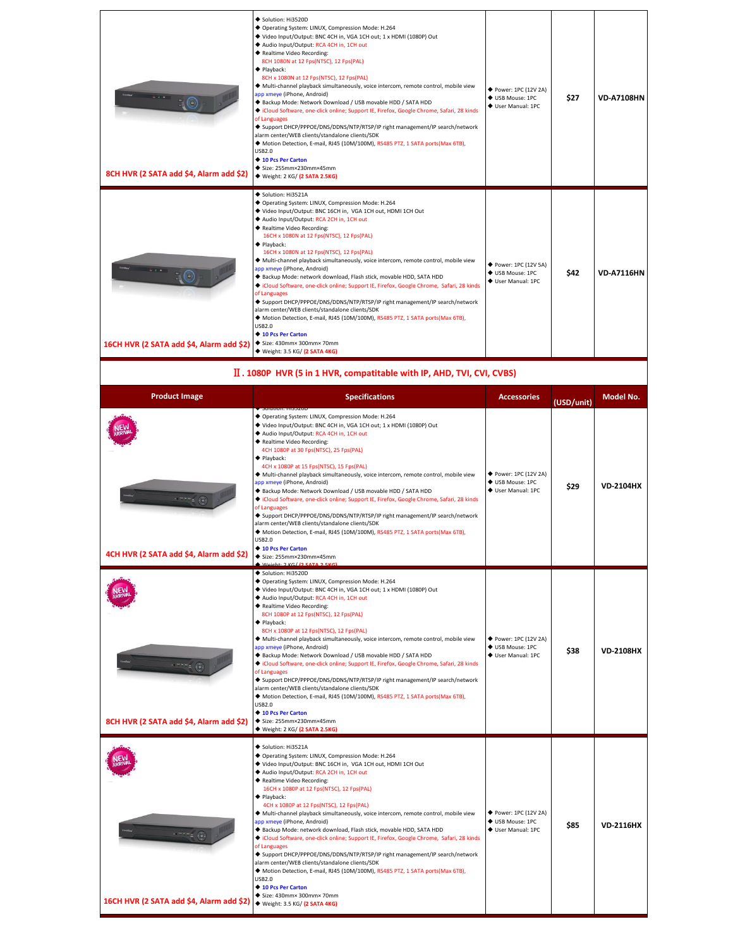| 8CH HVR (2 SATA add \$4, Alarm add \$2)  | Solution: Hi3520D<br>◆ Operating System: LINUX, Compression Mode: H.264<br>◆ Video Input/Output: BNC 4CH in, VGA 1CH out; 1 x HDMI (1080P) Out<br>◆ Audio Input/Output: RCA 4CH in, 1CH out<br>◆ Realtime Video Recording:<br>8CH 1080N at 12 Fps(NTSC), 12 Fps(PAL)<br>$\blacklozenge$ Playback:<br>8CH x 1080N at 12 Fps(NTSC), 12 Fps(PAL)<br>◆ Multi-channel playback simultaneously, voice intercom, remote control, mobile view<br>app xmeye (iPhone, Android)<br>◆ Backup Mode: Network Download / USB movable HDD / SATA HDD<br>Cloud Software, one-click online; Support IE, Firefox, Google Chrome, Safari, 28 kinds<br>of Languages<br>◆ Support DHCP/PPPOE/DNS/DDNS/NTP/RTSP/IP right management/IP search/network<br>alarm center/WEB clients/standalone clients/SDK<br>◆ Motion Detection, E-mail, RJ45 (10M/100M), RS485 PTZ, 1 SATA ports(Max 6TB),<br><b>USB2.0</b><br>◆ 10 Pcs Per Carton<br>◆ Size: 255mm×230mm×45mm<br>◆ Weight: 2 KG/ (2 SATA 2.5KG)                        | ◆ Power: 1PC (12V 2A)<br>♦ USB Mouse: 1PC<br>♦ User Manual: 1PC | \$27 | <b>VD-A7108HN</b> |
|------------------------------------------|--------------------------------------------------------------------------------------------------------------------------------------------------------------------------------------------------------------------------------------------------------------------------------------------------------------------------------------------------------------------------------------------------------------------------------------------------------------------------------------------------------------------------------------------------------------------------------------------------------------------------------------------------------------------------------------------------------------------------------------------------------------------------------------------------------------------------------------------------------------------------------------------------------------------------------------------------------------------------------------------------|-----------------------------------------------------------------|------|-------------------|
| 16CH HVR (2 SATA add \$4, Alarm add \$2) | Solution: Hi3521A<br>◆ Operating System: LINUX, Compression Mode: H.264<br>◆ Video Input/Output: BNC 16CH in, VGA 1CH out, HDMI 1CH Out<br>◆ Audio Input/Output: RCA 2CH in, 1CH out<br>◆ Realtime Video Recording:<br>16CH x 1080N at 12 Fps(NTSC), 12 Fps(PAL)<br>$\blacklozenge$ Playback:<br>16CH x 1080N at 12 Fps(NTSC), 12 Fps(PAL)<br>◆ Multi-channel playback simultaneously, voice intercom, remote control, mobile view<br>app xmeye (iPhone, Android)<br>◆ Backup Mode: network download, Flash stick, movable HDD, SATA HDD<br>◆ iCloud Software, one-click online; Support IE, Firefox, Google Chrome, Safari, 28 kinds<br>of Languages<br>◆ Support DHCP/PPPOE/DNS/DDNS/NTP/RTSP/IP right management/IP search/network<br>alarm center/WEB clients/standalone clients/SDK<br>◆ Motion Detection, E-mail, RJ45 (10M/100M), RS485 PTZ, 1 SATA ports(Max 6TB),<br><b>USB2.0</b><br>◆ 10 Pcs Per Carton<br>$\blacklozenge$ Size: 430mm× 300mm× 70mm<br>◆ Weight: 3.5 KG/ (2 SATA 4KG) | ◆ Power: 1PC (12V 5A)<br>♦ USB Mouse: 1PC<br>♦ User Manual: 1PC | \$42 | <b>VD-A7116HN</b> |

## Ⅱ**. 1080P HVR (5 in 1 HVR, compatitable with IP, AHD, TVI, CVI, CVBS)**

| <b>Product Image</b>                     | <b>Specifications</b>                                                                                                                                                                                                                                                                                                                                                                                                                                                                                                                                                                                                                                                                                                                                                                                                                                                                                                                                                    | <b>Accessories</b>                                              | (USD/unit) | <b>Model No.</b> |
|------------------------------------------|--------------------------------------------------------------------------------------------------------------------------------------------------------------------------------------------------------------------------------------------------------------------------------------------------------------------------------------------------------------------------------------------------------------------------------------------------------------------------------------------------------------------------------------------------------------------------------------------------------------------------------------------------------------------------------------------------------------------------------------------------------------------------------------------------------------------------------------------------------------------------------------------------------------------------------------------------------------------------|-----------------------------------------------------------------|------------|------------------|
| 4CH HVR (2 SATA add \$4, Alarm add \$2)  | <b>SUILIUII, NISSZUL</b><br>◆ Operating System: LINUX, Compression Mode: H.264<br>◆ Video Input/Output: BNC 4CH in, VGA 1CH out; 1 x HDMI (1080P) Out<br>Audio Input/Output: RCA 4CH in, 1CH out<br>◆ Realtime Video Recording:<br>4CH 1080P at 30 Fps(NTSC), 25 Fps(PAL)<br>◆ Playback:<br>4CH x 1080P at 15 Fps(NTSC), 15 Fps(PAL)<br>◆ Multi-channel playback simultaneously, voice intercom, remote control, mobile view<br>app xmeye (iPhone, Android)<br>◆ Backup Mode: Network Download / USB movable HDD / SATA HDD<br>◆ iCloud Software, one-click online; Support IE, Firefox, Google Chrome, Safari, 28 kinds<br>of Languages<br>◆ Support DHCP/PPPOE/DNS/DDNS/NTP/RTSP/IP right management/IP search/network<br>alarm center/WEB clients/standalone clients/SDK<br>◆ Motion Detection, E-mail, RJ45 (10M/100M), RS485 PTZ, 1 SATA ports(Max 6TB),<br><b>USB2.0</b><br>◆ 10 Pcs Per Carton<br>◆ Size: 255mm×230mm×45mm                                        | ◆ Power: 1PC (12V 2A)<br>♦ USB Mouse: 1PC<br>♦ User Manual: 1PC | \$29       | <b>VD-2104HX</b> |
| 8CH HVR (2 SATA add \$4, Alarm add \$2)  | Solution: Hi3520D<br>◆ Operating System: LINUX, Compression Mode: H.264<br>◆ Video Input/Output: BNC 4CH in, VGA 1CH out; 1 x HDMI (1080P) Out<br>Audio Input/Output: RCA 4CH in, 1CH out<br>◆ Realtime Video Recording:<br>8CH 1080P at 12 Fps(NTSC), 12 Fps(PAL)<br>$\blacklozenge$ Playback:<br>8CH x 1080P at 12 Fps(NTSC), 12 Fps(PAL)<br>◆ Multi-channel playback simultaneously, voice intercom, remote control, mobile view<br>app xmeye (iPhone, Android)<br>◆ Backup Mode: Network Download / USB movable HDD / SATA HDD<br>Cloud Software, one-click online; Support IE, Firefox, Google Chrome, Safari, 28 kinds<br>of Languages<br>◆ Support DHCP/PPPOE/DNS/DDNS/NTP/RTSP/IP right management/IP search/network<br>alarm center/WEB clients/standalone clients/SDK<br>◆ Motion Detection, E-mail, RJ45 (10M/100M), RS485 PTZ, 1 SATA ports(Max 6TB),<br><b>USB2.0</b><br>◆ 10 Pcs Per Carton<br>◆ Size: 255mm×230mm×45mm<br>◆ Weight: 2 KG/ (2 SATA 2.5KG)  | ◆ Power: 1PC (12V 2A)<br>♦ USB Mouse: 1PC<br>♦ User Manual: 1PC | \$38       | <b>VD-2108HX</b> |
| 16CH HVR (2 SATA add \$4, Alarm add \$2) | Solution: Hi3521A<br>◆ Operating System: LINUX, Compression Mode: H.264<br>◆ Video Input/Output: BNC 16CH in, VGA 1CH out, HDMI 1CH Out<br>Audio Input/Output: RCA 2CH in, 1CH out<br>◆ Realtime Video Recording:<br>16CH x 1080P at 12 Fps(NTSC), 12 Fps(PAL)<br>$\blacklozenge$ Playback:<br>4CH x 1080P at 12 Fps(NTSC), 12 Fps(PAL)<br>◆ Multi-channel playback simultaneously, voice intercom, remote control, mobile view<br>app xmeye (iPhone, Android)<br>Backup Mode: network download, Flash stick, movable HDD, SATA HDD<br>Cloud Software, one-click online; Support IE, Firefox, Google Chrome, Safari, 28 kinds<br>of Languages<br>◆ Support DHCP/PPPOE/DNS/DDNS/NTP/RTSP/IP right management/IP search/network<br>alarm center/WEB clients/standalone clients/SDK<br>◆ Motion Detection, E-mail, RJ45 (10M/100M), RS485 PTZ, 1 SATA ports(Max 6TB),<br><b>USB2.0</b><br>◆ 10 Pcs Per Carton<br>Size: 430mm× 300mm× 70mm<br>◆ Weight: 3.5 KG/ (2 SATA 4KG) | ◆ Power: 1PC (12V 2A)<br>♦ USB Mouse: 1PC<br>♦ User Manual: 1PC | \$85       | <b>VD-2116HX</b> |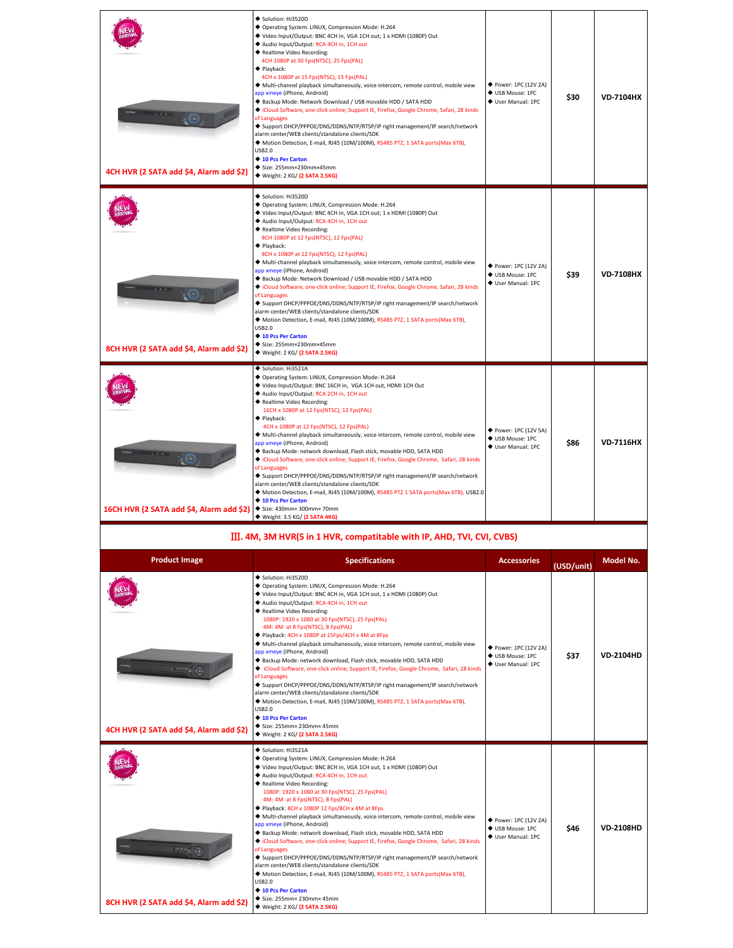| Solution: Hi3520D<br>◆ Operating System: LINUX, Compression Mode: H.264<br>◆ Video Input/Output: BNC 4CH in, VGA 1CH out; 1 x HDMI (1080P) Out<br>◆ Audio Input/Output: RCA 4CH in, 1CH out<br>◆ Realtime Video Recording:<br>8CH 1080P at 12 Fps(NTSC), 12 Fps(PAL)<br>$\blacklozenge$ Playback:<br>8CH x 1080P at 12 Fps(NTSC), 12 Fps(PAL)<br>◆ Multi-channel playback simultaneously, voice intercom, remote control, mobile view<br>◆ Power: 1PC (12V 2A)<br>app xmeye (iPhone, Android)<br>\$39<br><b>VD-7108HX</b><br>♦ USB Mouse: 1PC<br>◆ Backup Mode: Network Download / USB movable HDD / SATA HDD<br>♦ User Manual: 1PC<br>Cloud Software, one-click online; Support IE, Firefox, Google Chrome, Safari, 28 kinds<br>of Languages<br>◆ Support DHCP/PPPOE/DNS/DDNS/NTP/RTSP/IP right management/IP search/network<br>alarm center/WEB clients/standalone clients/SDK<br>◆ Motion Detection, E-mail, RJ45 (10M/100M), RS485 PTZ, 1 SATA ports(Max 6TB),<br><b>USB2.0</b><br>◆ 10 Pcs Per Carton<br>◆ Size: 255mm×230mm×45mm<br>8CH HVR (2 SATA add \$4, Alarm add \$2)<br>◆ Weight: 2 KG/ (2 SATA 2.5KG)<br>Solution: Hi3521A<br>◆ Operating System: LINUX, Compression Mode: H.264<br>◆ Video Input/Output: BNC 16CH in, VGA 1CH out, HDMI 1CH Out<br>◆ Audio Input/Output: RCA 2CH in, 1CH out<br>◆ Realtime Video Recording:<br>16CH x 1080P at 12 Fps(NTSC), 12 Fps(PAL)<br>$\blacklozenge$ Playback:<br>4CH x 1080P at 12 Fps(NTSC), 12 Fps(PAL)<br>◆ Power: 1PC (12V 5A)<br>◆ Multi-channel playback simultaneously, voice intercom, remote control, mobile view<br>♦ USB Mouse: 1PC<br><b>VD-7116HX</b><br>app xmeye (iPhone, Android)<br>\$86<br>♦ User Manual: 1PC<br>Backup Mode: network download, Flash stick, movable HDD, SATA HDD<br>◆ iCloud Software, one-click online; Support IE, Firefox, Google Chrome, Safari, 28 kinds<br>of Languages<br>◆ Support DHCP/PPPOE/DNS/DDNS/NTP/RTSP/IP right management/IP search/network<br>alarm center/WEB clients/standalone clients/SDK<br>◆ Motion Detection, E-mail, RJ45 (10M/100M), RS485 PTZ 1 SATA ports(Max 6TB), USB2.0 | 4CH HVR (2 SATA add \$4, Alarm add \$2) | Solution: Hi3520D<br>◆ Operating System: LINUX, Compression Mode: H.264<br>◆ Video Input/Output: BNC 4CH in, VGA 1CH out; 1 x HDMI (1080P) Out<br>◆ Audio Input/Output: RCA 4CH in, 1CH out<br>◆ Realtime Video Recording:<br>4CH 1080P at 30 Fps(NTSC), 25 Fps(PAL)<br>$\blacklozenge$ Playback:<br>4CH x 1080P at 15 Fps(NTSC), 15 Fps(PAL)<br>◆ Multi-channel playback simultaneously, voice intercom, remote control, mobile view<br>app xmeye (iPhone, Android)<br>◆ Backup Mode: Network Download / USB movable HDD / SATA HDD<br>Cloud Software, one-click online; Support IE, Firefox, Google Chrome, Safari, 28 kinds<br>of Languages<br>◆ Support DHCP/PPPOE/DNS/DDNS/NTP/RTSP/IP right management/IP search/network<br>alarm center/WEB clients/standalone clients/SDK<br>◆ Motion Detection, E-mail, RJ45 (10M/100M), RS485 PTZ, 1 SATA ports(Max 6TB),<br><b>USB2.0</b><br>◆ 10 Pcs Per Carton<br>◆ Size: 255mm×230mm×45mm<br>◆ Weight: 2 KG/ (2 SATA 2.5KG) | ◆ Power: 1PC (12V 2A)<br>♦ USB Mouse: 1PC<br>♦ User Manual: 1PC | \$30 | <b>VD-7104HX</b> |
|-----------------------------------------------------------------------------------------------------------------------------------------------------------------------------------------------------------------------------------------------------------------------------------------------------------------------------------------------------------------------------------------------------------------------------------------------------------------------------------------------------------------------------------------------------------------------------------------------------------------------------------------------------------------------------------------------------------------------------------------------------------------------------------------------------------------------------------------------------------------------------------------------------------------------------------------------------------------------------------------------------------------------------------------------------------------------------------------------------------------------------------------------------------------------------------------------------------------------------------------------------------------------------------------------------------------------------------------------------------------------------------------------------------------------------------------------------------------------------------------------------------------------------------------------------------------------------------------------------------------------------------------------------------------------------------------------------------------------------------------------------------------------------------------------------------------------------------------------------------------------------------------------------------------------------------------------------------------------------------------------------------------------------------------------------------------------------------------------------|-----------------------------------------|---------------------------------------------------------------------------------------------------------------------------------------------------------------------------------------------------------------------------------------------------------------------------------------------------------------------------------------------------------------------------------------------------------------------------------------------------------------------------------------------------------------------------------------------------------------------------------------------------------------------------------------------------------------------------------------------------------------------------------------------------------------------------------------------------------------------------------------------------------------------------------------------------------------------------------------------------------------------------|-----------------------------------------------------------------|------|------------------|
|                                                                                                                                                                                                                                                                                                                                                                                                                                                                                                                                                                                                                                                                                                                                                                                                                                                                                                                                                                                                                                                                                                                                                                                                                                                                                                                                                                                                                                                                                                                                                                                                                                                                                                                                                                                                                                                                                                                                                                                                                                                                                                     |                                         |                                                                                                                                                                                                                                                                                                                                                                                                                                                                                                                                                                                                                                                                                                                                                                                                                                                                                                                                                                           |                                                                 |      |                  |
| 16CH HVR (2 SATA add \$4, Alarm add \$2)<br>◆ Size: 430mm× 300mm× 70mm<br>◆ Weight: 3.5 KG/ (2 SATA 4KG)                                                                                                                                                                                                                                                                                                                                                                                                                                                                                                                                                                                                                                                                                                                                                                                                                                                                                                                                                                                                                                                                                                                                                                                                                                                                                                                                                                                                                                                                                                                                                                                                                                                                                                                                                                                                                                                                                                                                                                                            |                                         | ◆ 10 Pcs Per Carton                                                                                                                                                                                                                                                                                                                                                                                                                                                                                                                                                                                                                                                                                                                                                                                                                                                                                                                                                       |                                                                 |      |                  |

#### Ⅲ**. 4M, 3M HVR(5 in 1 HVR, compatitable with IP, AHD, TVI, CVI, CVBS)**

| <b>Product Image</b>                    | <b>Specifications</b>                                                                                                                                                                                                                                                                                                                                                                                                                                                                                                                                                                                                                                                                                                                                                                                                                                                                                                                                                                                         | <b>Accessories</b>                                              | (USD/unit) | Model No.        |
|-----------------------------------------|---------------------------------------------------------------------------------------------------------------------------------------------------------------------------------------------------------------------------------------------------------------------------------------------------------------------------------------------------------------------------------------------------------------------------------------------------------------------------------------------------------------------------------------------------------------------------------------------------------------------------------------------------------------------------------------------------------------------------------------------------------------------------------------------------------------------------------------------------------------------------------------------------------------------------------------------------------------------------------------------------------------|-----------------------------------------------------------------|------------|------------------|
| 4CH HVR (2 SATA add \$4, Alarm add \$2) | Solution: Hi3520D<br>◆ Operating System: LINUX, Compression Mode: H.264<br>◆ Video Input/Output: BNC 4CH in, VGA 1CH out, 1 x HDMI (1080P) Out<br>◆ Audio Input/Output: RCA 4CH in, 1CH out<br>◆ Realtime Video Recording:<br>1080P: 1920 x 1080 at 30 Fps(NTSC), 25 Fps(PAL)<br>4M: 4M at 8 Fps(NTSC), 8 Fps(PAL)<br>◆ Playback: 4CH x 1080P at 15Fps/4CH x 4M at 8Fps<br>◆ Multi-channel playback simultaneously, voice intercom, remote control, mobile view<br>app xmeye (iPhone, Android)<br>◆ Backup Mode: network download, Flash stick, movable HDD, SATA HDD<br>Cloud Software, one-click online; Support IE, Firefox, Google Chrome, Safari, 28 kinds<br>of Languages<br>◆ Support DHCP/PPPOE/DNS/DDNS/NTP/RTSP/IP right management/IP search/network<br>alarm center/WEB clients/standalone clients/SDK<br>◆ Motion Detection, E-mail, RJ45 (10M/100M), RS485 PTZ, 1 SATA ports(Max 6TB),<br><b>USB2.0</b><br>◆ 10 Pcs Per Carton<br>◆ Size: 255mm× 230mm× 45mm<br>◆ Weight: 2 KG/ (2 SATA 2.5KG)  | ◆ Power: 1PC (12V 2A)<br>♦ USB Mouse: 1PC<br>♦ User Manual: 1PC | \$37       | <b>VD-2104HD</b> |
| 8CH HVR (2 SATA add \$4, Alarm add \$2) | Solution: Hi3521A<br>◆ Operating System: LINUX, Compression Mode: H.264<br>◆ Video Input/Output: BNC 8CH in, VGA 1CH out, 1 x HDMI (1080P) Out<br>◆ Audio Input/Output: RCA 4CH in, 1CH out<br>◆ Realtime Video Recording:<br>1080P: 1920 x 1080 at 30 Fps(NTSC), 25 Fps(PAL)<br>4M: 4M at 8 Fps(NTSC), 8 Fps(PAL)<br>◆ Playback: 8CH x 1080P 12 Fps/8CH x 4M at 8Fps<br>◆ Multi-channel playback simultaneously, voice intercom, remote control, mobile view<br>app xmeye (iPhone, Android)<br>◆ Backup Mode: network download, Flash stick, movable HDD, SATA HDD<br>◆ iCloud Software, one-click online; Support IE, Firefox, Google Chrome, Safari, 28 kinds<br>of Languages<br>◆ Support DHCP/PPPOE/DNS/DDNS/NTP/RTSP/IP right management/IP search/network<br>alarm center/WEB clients/standalone clients/SDK<br>◆ Motion Detection, E-mail, RJ45 (10M/100M), RS485 PTZ, 1 SATA ports(Max 6TB),<br><b>USB2.0</b><br>◆ 10 Pcs Per Carton<br>◆ Size: 255mm× 230mm× 45mm<br>◆ Weight: 2 KG/ (2 SATA 2.5KG) | ◆ Power: 1PC (12V 2A)<br>♦ USB Mouse: 1PC<br>♦ User Manual: 1PC | \$46       | <b>VD-2108HD</b> |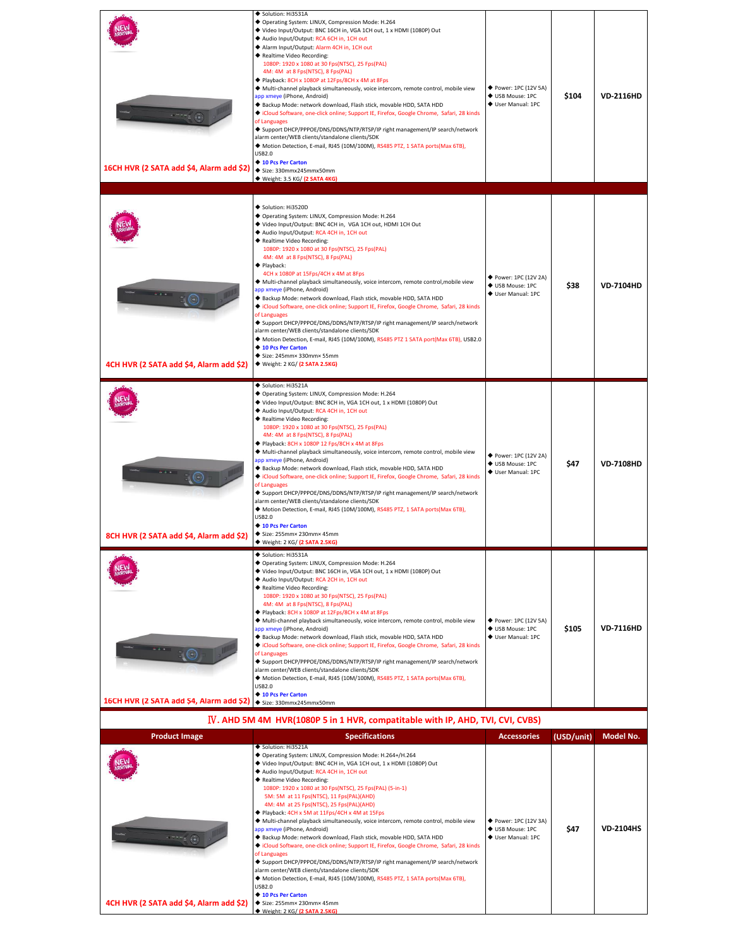| 16CH HVR (2 SATA add \$4, Alarm add \$2)              | Solution: Hi3531A<br>◆ Operating System: LINUX, Compression Mode: H.264<br>◆ Video Input/Output: BNC 16CH in, VGA 1CH out, 1 x HDMI (1080P) Out<br>Audio Input/Output: RCA 6CH in, 1CH out<br>Alarm Input/Output: Alarm 4CH in, 1CH out<br>◆ Realtime Video Recording:<br>1080P: 1920 x 1080 at 30 Fps(NTSC), 25 Fps(PAL)<br>4M: 4M at 8 Fps(NTSC), 8 Fps(PAL)<br>◆ Playback: 8CH x 1080P at 12Fps/8CH x 4M at 8Fps<br>◆ Multi-channel playback simultaneously, voice intercom, remote control, mobile view<br>app xmeye (iPhone, Android)<br>Backup Mode: network download, Flash stick, movable HDD, SATA HDD<br>Cloud Software, one-click online; Support IE, Firefox, Google Chrome, Safari, 28 kinds<br>of Languages<br>◆ Support DHCP/PPPOE/DNS/DDNS/NTP/RTSP/IP right management/IP search/network<br>alarm center/WEB clients/standalone clients/SDK<br>◆ Motion Detection, E-mail, RJ45 (10M/100M), RS485 PTZ, 1 SATA ports(Max 6TB),<br><b>USB2.0</b><br>◆ 10 Pcs Per Carton<br>◆ Size: 330mmx245mmx50mm<br>◆ Weight: 3.5 KG/ (2 SATA 4KG) | ◆ Power: 1PC (12V 5A)<br>◆ USB Mouse: 1PC<br>♦ User Manual: 1PC | \$104      | <b>VD-2116HD</b> |
|-------------------------------------------------------|------------------------------------------------------------------------------------------------------------------------------------------------------------------------------------------------------------------------------------------------------------------------------------------------------------------------------------------------------------------------------------------------------------------------------------------------------------------------------------------------------------------------------------------------------------------------------------------------------------------------------------------------------------------------------------------------------------------------------------------------------------------------------------------------------------------------------------------------------------------------------------------------------------------------------------------------------------------------------------------------------------------------------------------------------|-----------------------------------------------------------------|------------|------------------|
| 4CH HVR (2 SATA add \$4, Alarm add \$2)               | Solution: Hi3520D<br>◆ Operating System: LINUX, Compression Mode: H.264<br>◆ Video Input/Output: BNC 4CH in, VGA 1CH out, HDMI 1CH Out<br>Audio Input/Output: RCA 4CH in, 1CH out<br>◆ Realtime Video Recording:<br>1080P: 1920 x 1080 at 30 Fps(NTSC), 25 Fps(PAL)<br>4M: 4M at 8 Fps(NTSC), 8 Fps(PAL)<br>◆ Playback:<br>4CH x 1080P at 15Fps/4CH x 4M at 8Fps<br>◆ Multi-channel playback simultaneously, voice intercom, remote control,mobile view<br>app xmeye (iPhone, Android)<br>Backup Mode: network download, Flash stick, movable HDD, SATA HDD<br>Cloud Software, one-click online; Support IE, Firefox, Google Chrome, Safari, 28 kinds<br>of Languages<br>◆ Support DHCP/PPPOE/DNS/DDNS/NTP/RTSP/IP right management/IP search/network<br>alarm center/WEB clients/standalone clients/SDK<br>◆ Motion Detection, E-mail, RJ45 (10M/100M), RS485 PTZ 1 SATA port(Max 6TB), USB2.0<br>◆ 10 Pcs Per Carton<br>Size: 245mm× 330mm× 55mm<br>◆ Weight: 2 KG/ (2 SATA 2.5KG)                                                                 | ◆ Power: 1PC (12V 2A)<br>♦ USB Mouse: 1PC<br>♦ User Manual: 1PC | \$38       | <b>VD-7104HD</b> |
| 8CH HVR (2 SATA add \$4, Alarm add \$2)               | Solution: Hi3521A<br>◆ Operating System: LINUX, Compression Mode: H.264<br>◆ Video Input/Output: BNC 8CH in, VGA 1CH out, 1 x HDMI (1080P) Out<br>Audio Input/Output: RCA 4CH in, 1CH out<br>◆ Realtime Video Recording:<br>1080P: 1920 x 1080 at 30 Fps(NTSC), 25 Fps(PAL)<br>4M: 4M at 8 Fps(NTSC), 8 Fps(PAL)<br>◆ Playback: 8CH x 1080P 12 Fps/8CH x 4M at 8Fps<br>◆ Multi-channel playback simultaneously, voice intercom, remote control, mobile view<br>app xmeye (iPhone, Android)<br>◆ Backup Mode: network download, Flash stick, movable HDD, SATA HDD<br>Cloud Software, one-click online; Support IE, Firefox, Google Chrome, Safari, 28 kinds<br>of Languages<br>◆ Support DHCP/PPPOE/DNS/DDNS/NTP/RTSP/IP right management/IP search/network<br>alarm center/WEB clients/standalone clients/SDK<br>◆ Motion Detection, E-mail, RJ45 (10M/100M), RS485 PTZ, 1 SATA ports(Max 6TB),<br><b>USB2.0</b><br>◆ 10 Pcs Per Carton<br>Size: 255mm× 230mm× 45mm<br>◆ Weight: 2 KG/ (2 SATA 2.5KG)                                               | ◆ Power: 1PC (12V 2A)<br>♦ USB Mouse: 1PC<br>♦ User Manual: 1PC | \$47       | <b>VD-7108HD</b> |
| 16CH HVR (2 SATA add \$4, Alarm add \$2)              | Solution: Hi3531A<br>◆ Operating System: LINUX, Compression Mode: H.264<br>◆ Video Input/Output: BNC 16CH in, VGA 1CH out, 1 x HDMI (1080P) Out<br>Audio Input/Output: RCA 2CH in, 1CH out<br>◆ Realtime Video Recording:<br>1080P: 1920 x 1080 at 30 Fps(NTSC), 25 Fps(PAL)<br>4M: 4M at 8 Fps(NTSC), 8 Fps(PAL)<br>◆ Playback: 8CH x 1080P at 12Fps/8CH x 4M at 8Fps<br>◆ Multi-channel playback simultaneously, voice intercom, remote control, mobile view<br>app xmeye (iPhone, Android)<br>Backup Mode: network download, Flash stick, movable HDD, SATA HDD<br>Cloud Software, one-click online; Support IE, Firefox, Google Chrome, Safari, 28 kinds<br>of Languages<br>◆ Support DHCP/PPPOE/DNS/DDNS/NTP/RTSP/IP right management/IP search/network<br>alarm center/WEB clients/standalone clients/SDK<br>◆ Motion Detection, E-mail, RJ45 (10M/100M), RS485 PTZ, 1 SATA ports(Max 6TB),<br><b>USB2.0</b><br>◆ 10 Pcs Per Carton<br>◆ Size: 330mmx245mmx50mm                                                                                | ◆ Power: 1PC (12V 5A)<br>♦ USB Mouse: 1PC<br>♦ User Manual: 1PC | \$105      | <b>VD-7116HD</b> |
|                                                       | IV. AHD 5M 4M HVR(1080P 5 in 1 HVR, compatitable with IP, AHD, TVI, CVI, CVBS)                                                                                                                                                                                                                                                                                                                                                                                                                                                                                                                                                                                                                                                                                                                                                                                                                                                                                                                                                                       |                                                                 |            |                  |
| <b>Product Image</b>                                  | <b>Specifications</b><br>Solution: Hi3521A                                                                                                                                                                                                                                                                                                                                                                                                                                                                                                                                                                                                                                                                                                                                                                                                                                                                                                                                                                                                           | <b>Accessories</b>                                              | (USD/unit) | Model No.        |
| $-7777268$<br>4CH HVR (2 SATA add \$4, Alarm add \$2) | ◆ Operating System: LINUX, Compression Mode: H.264+/H.264<br>◆ Video Input/Output: BNC 4CH in, VGA 1CH out, 1 x HDMI (1080P) Out<br>Audio Input/Output: RCA 4CH in, 1CH out<br>◆ Realtime Video Recording:<br>1080P: 1920 x 1080 at 30 Fps(NTSC), 25 Fps(PAL) (5-in-1)<br>5M: 5M at 11 Fps(NTSC), 11 Fps(PAL)(AHD)<br>4M: 4M at 25 Fps(NTSC), 25 Fps(PAL)(AHD)<br>◆ Playback: 4CH x 5M at 11Fps/4CH x 4M at 15Fps<br>◆ Multi-channel playback simultaneously, voice intercom, remote control, mobile view<br>app xmeye (iPhone, Android)<br>Backup Mode: network download, Flash stick, movable HDD, SATA HDD<br>Cloud Software, one-click online; Support IE, Firefox, Google Chrome, Safari, 28 kinds<br>of Languages<br>◆ Support DHCP/PPPOE/DNS/DDNS/NTP/RTSP/IP right management/IP search/network<br>alarm center/WEB clients/standalone clients/SDK<br>◆ Motion Detection, E-mail, RJ45 (10M/100M), RS485 PTZ, 1 SATA ports(Max 6TB),<br><b>USB2.0</b><br>◆ 10 Pcs Per Carton<br>◆ Size: 255mm× 230mm× 45mm<br>Weight: 2 KG/ (2 SATA 2.5KG)   | ◆ Power: 1PC (12V 3A)<br>◆ USB Mouse: 1PC<br>♦ User Manual: 1PC | \$47       | <b>VD-2104HS</b> |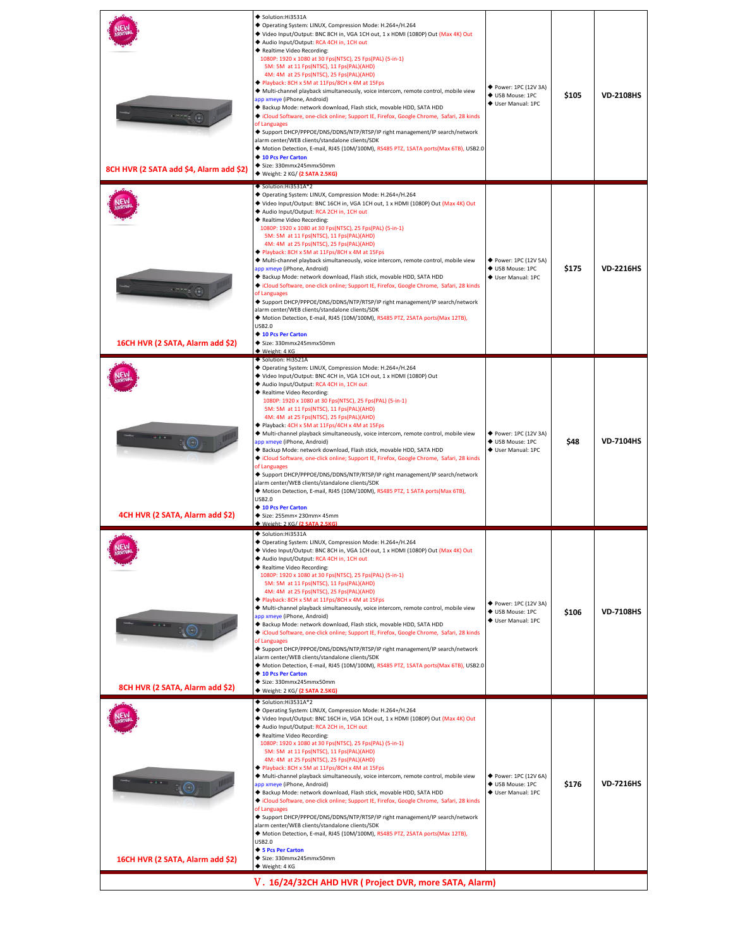| 8CH HVR (2 SATA add \$4, Alarm add \$2) | ◆ Solution:Hi3531A<br>◆ Operating System: LINUX, Compression Mode: H.264+/H.264<br>◆ Video Input/Output: BNC 8CH in, VGA 1CH out, 1 x HDMI (1080P) Out (Max 4K) Out<br>Audio Input/Output: RCA 4CH in, 1CH out<br>◆ Realtime Video Recording:<br>1080P: 1920 x 1080 at 30 Fps(NTSC), 25 Fps(PAL) (5-in-1)<br>5M: 5M at 11 Fps(NTSC), 11 Fps(PAL)(AHD)<br>4M: 4M at 25 Fps(NTSC), 25 Fps(PAL)(AHD)<br>◆ Playback: 8CH x 5M at 11Fps/8CH x 4M at 15Fps<br>◆ Multi-channel playback simultaneously, voice intercom, remote control, mobile view<br>app xmeye (iPhone, Android)<br>Backup Mode: network download, Flash stick, movable HDD, SATA HDD<br>Cloud Software, one-click online; Support IE, Firefox, Google Chrome, Safari, 28 kinds<br>of Languages<br>◆ Support DHCP/PPPOE/DNS/DDNS/NTP/RTSP/IP right management/IP search/network<br>alarm center/WEB clients/standalone clients/SDK<br>◆ Motion Detection, E-mail, RJ45 (10M/100M), RS485 PTZ, 1SATA ports(Max 6TB), USB2.0<br>◆ 10 Pcs Per Carton<br>◆ Size: 330mmx245mmx50mm<br>◆ Weight: 2 KG/ (2 SATA 2.5KG)                                                    | ◆ Power: 1PC (12V 3A)<br>♦ USB Mouse: 1PC<br>♦ User Manual: 1PC | \$105 | <b>VD-2108HS</b> |
|-----------------------------------------|-------------------------------------------------------------------------------------------------------------------------------------------------------------------------------------------------------------------------------------------------------------------------------------------------------------------------------------------------------------------------------------------------------------------------------------------------------------------------------------------------------------------------------------------------------------------------------------------------------------------------------------------------------------------------------------------------------------------------------------------------------------------------------------------------------------------------------------------------------------------------------------------------------------------------------------------------------------------------------------------------------------------------------------------------------------------------------------------------------------------------------|-----------------------------------------------------------------|-------|------------------|
| 16CH HVR (2 SATA, Alarm add \$2)        | ◆ Solution:Hi3531A*2<br>◆ Operating System: LINUX, Compression Mode: H.264+/H.264<br>◆ Video Input/Output: BNC 16CH in, VGA 1CH out, 1 x HDMI (1080P) Out (Max 4K) Out<br>◆ Audio Input/Output: RCA 2CH in, 1CH out<br>◆ Realtime Video Recording:<br>1080P: 1920 x 1080 at 30 Fps(NTSC), 25 Fps(PAL) (5-in-1)<br>5M: 5M at 11 Fps(NTSC), 11 Fps(PAL)(AHD)<br>4M: 4M at 25 Fps(NTSC), 25 Fps(PAL)(AHD)<br>Playback: 8CH x 5M at 11Fps/8CH x 4M at 15Fps<br>◆ Multi-channel playback simultaneously, voice intercom, remote control, mobile view<br>app xmeye (iPhone, Android)<br>Backup Mode: network download, Flash stick, movable HDD, SATA HDD<br>◆ iCloud Software, one-click online; Support IE, Firefox, Google Chrome, Safari, 28 kinds<br>of Languages<br>◆ Support DHCP/PPPOE/DNS/DDNS/NTP/RTSP/IP right management/IP search/network<br>alarm center/WEB clients/standalone clients/SDK<br>◆ Motion Detection, E-mail, RJ45 (10M/100M), RS485 PTZ, 2SATA ports(Max 12TB),<br><b>USB2.0</b><br>◆ 10 Pcs Per Carton<br>◆ Size: 330mmx245mmx50mm<br>◆ Weight: 4 KG<br>Solution: Hi3521A                              | ◆ Power: 1PC (12V 5A)<br>♦ USB Mouse: 1PC<br>♦ User Manual: 1PC | \$175 | <b>VD-2216HS</b> |
| 4CH HVR (2 SATA, Alarm add \$2)         | ◆ Operating System: LINUX, Compression Mode: H.264+/H.264<br>◆ Video Input/Output: BNC 4CH in, VGA 1CH out, 1 x HDMI (1080P) Out<br>Audio Input/Output: RCA 4CH in, 1CH out<br>◆ Realtime Video Recording:<br>1080P: 1920 x 1080 at 30 Fps(NTSC), 25 Fps(PAL) (5-in-1)<br>5M: 5M at 11 Fps(NTSC), 11 Fps(PAL)(AHD)<br>4M: 4M at 25 Fps(NTSC), 25 Fps(PAL)(AHD)<br>◆ Playback: 4CH x 5M at 11Fps/4CH x 4M at 15Fps<br>◆ Multi-channel playback simultaneously, voice intercom, remote control, mobile view<br>app xmeye (iPhone, Android)<br>Backup Mode: network download, Flash stick, movable HDD, SATA HDD<br>Cloud Software, one-click online; Support IE, Firefox, Google Chrome, Safari, 28 kinds<br>of Languages<br>◆ Support DHCP/PPPOE/DNS/DDNS/NTP/RTSP/IP right management/IP search/network<br>alarm center/WEB clients/standalone clients/SDK<br>◆ Motion Detection, E-mail, RJ45 (10M/100M), RS485 PTZ, 1 SATA ports(Max 6TB),<br><b>USB2.0</b><br>◆ 10 Pcs Per Carton<br>Size: 255mm× 230mm× 45mm<br>Weight: 2 KG/ (2 SATA 2.5KG                                                                               | ◆ Power: 1PC (12V 3A)<br>♦ USB Mouse: 1PC<br>♦ User Manual: 1PC | \$48  | <b>VD-7104HS</b> |
| 8CH HVR (2 SATA, Alarm add \$2)         | ◆ Solution:Hi3531A<br>◆ Operating System: LINUX, Compression Mode: H.264+/H.264<br>◆ Video Input/Output: BNC 8CH in, VGA 1CH out, 1 x HDMI (1080P) Out (Max 4K) Out<br>Audio Input/Output: RCA 4CH in, 1CH out<br>◆ Realtime Video Recording:<br>1080P: 1920 x 1080 at 30 Fps(NTSC), 25 Fps(PAL) (5-in-1)<br>5M: 5M at 11 Fps(NTSC), 11 Fps(PAL)(AHD)<br>4M: 4M at 25 Fps(NTSC), 25 Fps(PAL)(AHD)<br>◆ Playback: 8CH x 5M at 11Fps/8CH x 4M at 15Fps<br>◆ Multi-channel playback simultaneously, voice intercom, remote control, mobile view<br>app xmeye (iPhone, Android)<br>Backup Mode: network download, Flash stick, movable HDD, SATA HDD<br>Cloud Software, one-click online; Support IE, Firefox, Google Chrome, Safari, 28 kinds<br>of Languages<br>◆ Support DHCP/PPPOE/DNS/DDNS/NTP/RTSP/IP right management/IP search/network<br>alarm center/WEB clients/standalone clients/SDK<br>◆ Motion Detection, E-mail, RJ45 (10M/100M), RS485 PTZ, 1SATA ports(Max 6TB), USB2.0<br>◆ 10 Pcs Per Carton<br>◆ Size: 330mmx245mmx50mm<br>◆ Weight: 2 KG/ (2 SATA 2.5KG)                                                    | ◆ Power: 1PC (12V 3A)<br>♦ USB Mouse: 1PC<br>♦ User Manual: 1PC | \$106 | <b>VD-7108HS</b> |
| 16CH HVR (2 SATA, Alarm add \$2)        | ◆ Solution:Hi3531A*2<br>◆ Operating System: LINUX, Compression Mode: H.264+/H.264<br>◆ Video Input/Output: BNC 16CH in, VGA 1CH out, 1 x HDMI (1080P) Out (Max 4K) Out<br>Audio Input/Output: RCA 2CH in, 1CH out<br>◆ Realtime Video Recording:<br>1080P: 1920 x 1080 at 30 Fps(NTSC), 25 Fps(PAL) (5-in-1)<br>5M: 5M at 11 Fps(NTSC), 11 Fps(PAL)(AHD)<br>4M: 4M at 25 Fps(NTSC), 25 Fps(PAL)(AHD)<br>Playback: 8CH x 5M at 11Fps/8CH x 4M at 15Fps<br>◆ Multi-channel playback simultaneously, voice intercom, remote control, mobile view<br>app xmeye (iPhone, Android)<br>Backup Mode: network download, Flash stick, movable HDD, SATA HDD<br>Cloud Software, one-click online; Support IE, Firefox, Google Chrome, Safari, 28 kinds<br>of Languages<br>◆ Support DHCP/PPPOE/DNS/DDNS/NTP/RTSP/IP right management/IP search/network<br>alarm center/WEB clients/standalone clients/SDK<br>◆ Motion Detection, E-mail, RJ45 (10M/100M), RS485 PTZ, 2SATA ports(Max 12TB),<br><b>USB2.0</b><br>◆ 5 Pcs Per Carton<br>Size: 330mmx245mmx50mm<br>◆ Weight: 4 KG<br>V. 16/24/32CH AHD HVR ( Project DVR, more SATA, Alarm) | ◆ Power: 1PC (12V 6A)<br>♦ USB Mouse: 1PC<br>♦ User Manual: 1PC | \$176 | <b>VD-7216HS</b> |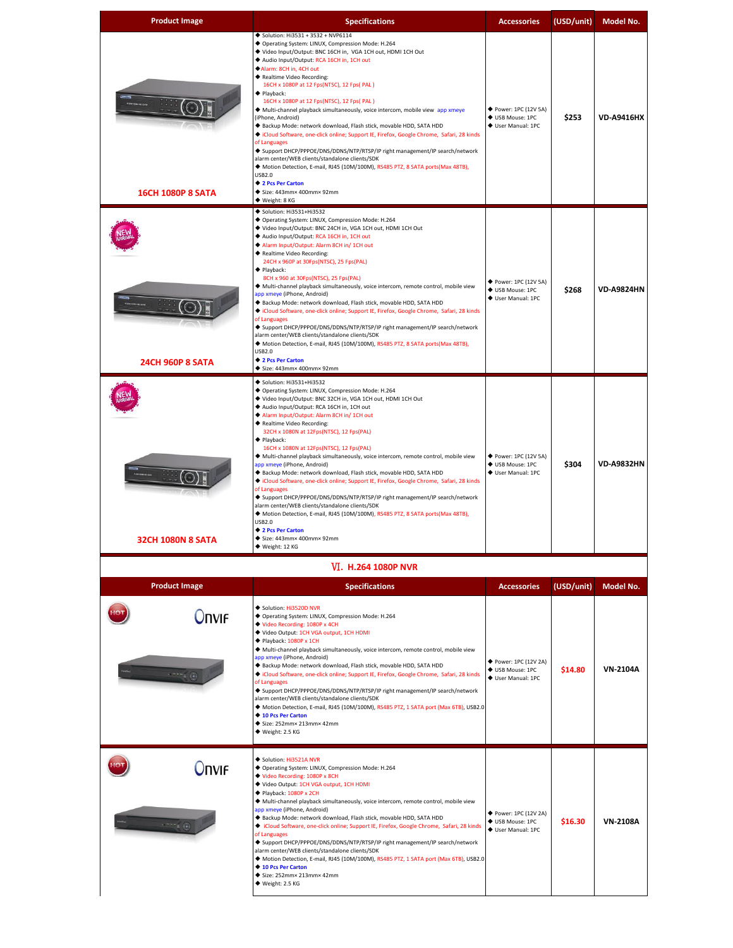| <b>Product Image</b>       | <b>Specifications</b>                                                                                                                                                                                                                                                                                                                                                                                                                                                                                                                                                                                                                                                                                                                                                                                                                                                                                                                                                                                                              | <b>Accessories</b>                                              | (USD/unit) | Model No.         |
|----------------------------|------------------------------------------------------------------------------------------------------------------------------------------------------------------------------------------------------------------------------------------------------------------------------------------------------------------------------------------------------------------------------------------------------------------------------------------------------------------------------------------------------------------------------------------------------------------------------------------------------------------------------------------------------------------------------------------------------------------------------------------------------------------------------------------------------------------------------------------------------------------------------------------------------------------------------------------------------------------------------------------------------------------------------------|-----------------------------------------------------------------|------------|-------------------|
| <b>16CH 1080P 8 SATA</b>   | ◆ Solution: Hi3531 + 3532 + NVP6114<br>◆ Operating System: LINUX, Compression Mode: H.264<br>◆ Video Input/Output: BNC 16CH in, VGA 1CH out, HDMI 1CH Out<br>◆ Audio Input/Output: RCA 16CH in, 1CH out<br>Alarm: 8CH in, 4CH out<br>◆ Realtime Video Recording:<br>16CH x 1080P at 12 Fps(NTSC), 12 Fps( PAL)<br>◆ Playback:<br>16CH x 1080P at 12 Fps(NTSC), 12 Fps( PAL)<br>◆ Multi-channel playback simultaneously, voice intercom, mobile view app xmeye<br>(iPhone, Android)<br>Backup Mode: network download, Flash stick, movable HDD, SATA HDD<br>Cloud Software, one-click online; Support IE, Firefox, Google Chrome, Safari, 28 kinds<br>of Languages<br>◆ Support DHCP/PPPOE/DNS/DDNS/NTP/RTSP/IP right management/IP search/network<br>alarm center/WEB clients/standalone clients/SDK<br>◆ Motion Detection, E-mail, RJ45 (10M/100M), RS485 PTZ, 8 SATA ports(Max 48TB),<br><b>USB2.0</b><br>◆ 2 Pcs Per Carton<br>◆ Size: 443mm× 400mm× 92mm<br>◆ Weight: 8 KG                                                     | ◆ Power: 1PC (12V 5A)<br>◆ USB Mouse: 1PC<br>◆ User Manual: 1PC | \$253      | <b>VD-A9416HX</b> |
| <b>24CH 960P 8 SATA</b>    | ◆ Solution: Hi3531+Hi3532<br>◆ Operating System: LINUX, Compression Mode: H.264<br>◆ Video Input/Output: BNC 24CH in, VGA 1CH out, HDMI 1CH Out<br>Audio Input/Output: RCA 16CH in, 1CH out<br>Alarm Input/Output: Alarm 8CH in/ 1CH out<br>◆ Realtime Video Recording:<br>24CH x 960P at 30Fps(NTSC), 25 Fps(PAL)<br>$\blacklozenge$ Playback:<br>8CH x 960 at 30Fps(NTSC), 25 Fps(PAL)<br>◆ Multi-channel playback simultaneously, voice intercom, remote control, mobile view<br>app xmeye (iPhone, Android)<br>Backup Mode: network download, Flash stick, movable HDD, SATA HDD<br>Cloud Software, one-click online; Support IE, Firefox, Google Chrome, Safari, 28 kinds<br>of Languages<br>◆ Support DHCP/PPPOE/DNS/DDNS/NTP/RTSP/IP right management/IP search/network<br>alarm center/WEB clients/standalone clients/SDK<br>◆ Motion Detection, E-mail, RJ45 (10M/100M), RS485 PTZ, 8 SATA ports(Max 48TB),<br><b>USB2.0</b><br>◆ 2 Pcs Per Carton<br>Size: 443mm× 400mm× 92mm                                            | ◆ Power: 1PC (12V 5A)<br>♦ USB Mouse: 1PC<br>♦ User Manual: 1PC | \$268      | <b>VD-A9824HN</b> |
| <b>32CH 1080N 8 SATA</b>   | $\blacklozenge$ Solution: Hi3531+Hi3532<br>◆ Operating System: LINUX, Compression Mode: H.264<br>◆ Video Input/Output: BNC 32CH in, VGA 1CH out, HDMI 1CH Out<br>◆ Audio Input/Output: RCA 16CH in, 1CH out<br>Alarm Input/Output: Alarm 8CH in/ 1CH out<br>◆ Realtime Video Recording:<br>32CH x 1080N at 12Fps(NTSC), 12 Fps(PAL)<br>$\blacklozenge$ Playback:<br>16CH x 1080N at 12Fps(NTSC), 12 Fps(PAL)<br>◆ Multi-channel playback simultaneously, voice intercom, remote control, mobile view<br>app xmeye (iPhone, Android)<br>◆ Backup Mode: network download, Flash stick, movable HDD, SATA HDD<br>Cloud Software, one-click online; Support IE, Firefox, Google Chrome, Safari, 28 kinds<br>of Languages<br>◆ Support DHCP/PPPOE/DNS/DDNS/NTP/RTSP/IP right management/IP search/network<br>alarm center/WEB clients/standalone clients/SDK<br>◆ Motion Detection, E-mail, RJ45 (10M/100M), RS485 PTZ, 8 SATA ports(Max 48TB),<br><b>USB2.0</b><br>◆ 2 Pcs Per Carton<br>◆ Size: 443mm× 400mm× 92mm<br>◆ Weight: 12 KG | ◆ Power: 1PC (12V 5A)<br>♦ USB Mouse: 1PC<br>♦ User Manual: 1PC | \$304      | <b>VD-A9832HN</b> |
|                            | <b>VI. H.264 1080P NVR</b>                                                                                                                                                                                                                                                                                                                                                                                                                                                                                                                                                                                                                                                                                                                                                                                                                                                                                                                                                                                                         |                                                                 |            |                   |
| <b>Product Image</b>       | <b>Specifications</b>                                                                                                                                                                                                                                                                                                                                                                                                                                                                                                                                                                                                                                                                                                                                                                                                                                                                                                                                                                                                              | <b>Accessories</b>                                              | (USD/unit) | Model No.         |
| <b>Onvif</b>               | Solution: Hi3520D NVR<br>◆ Operating System: LINUX, Compression Mode: H.264<br>◆ Video Recording: 1080P x 4CH<br>◆ Video Output: 1CH VGA output, 1CH HDMI<br>◆ Playback: 1080P x 1CH<br>◆ Multi-channel playback simultaneously, voice intercom, remote control, mobile view<br>app xmeye (iPhone, Android)<br>◆ Backup Mode: network download, Flash stick, movable HDD, SATA HDD<br>Cloud Software, one-click online; Support IE, Firefox, Google Chrome, Safari, 28 kinds<br>of Languages<br>◆ Support DHCP/PPPOE/DNS/DDNS/NTP/RTSP/IP right management/IP search/network<br>alarm center/WEB clients/standalone clients/SDK<br>◆ Motion Detection, E-mail, RJ45 (10M/100M), RS485 PTZ, 1 SATA port (Max 6TB), USB2.0<br>◆ 10 Pcs Per Carton<br>◆ Size: 252mm× 213mm× 42mm<br>◆ Weight: 2.5 KG                                                                                                                                                                                                                                  | ◆ Power: 1PC (12V 2A)<br>♦ USB Mouse: 1PC<br>♦ User Manual: 1PC | \$14.80    | <b>VN-2104A</b>   |
| <b>Onvif</b><br>$-7772(8)$ | Solution: Hi3521A NVR<br>◆ Operating System: LINUX, Compression Mode: H.264<br>◆ Video Recording: 1080P x 8CH<br>◆ Video Output: 1CH VGA output, 1CH HDMI<br>◆ Playback: 1080P x 2CH<br>◆ Multi-channel playback simultaneously, voice intercom, remote control, mobile view<br>app xmeye (iPhone, Android)<br>◆ Backup Mode: network download, Flash stick, movable HDD, SATA HDD<br>◆ iCloud Software, one-click online; Support IE, Firefox, Google Chrome, Safari, 28 kinds<br>of Languages<br>◆ Support DHCP/PPPOE/DNS/DDNS/NTP/RTSP/IP right management/IP search/network<br>alarm center/WEB clients/standalone clients/SDK<br>◆ Motion Detection, E-mail, RJ45 (10M/100M), RS485 PTZ, 1 SATA port (Max 6TB), USB2.0<br>◆ 10 Pcs Per Carton<br>Size: 252mm× 213mm× 42mm<br>◆ Weight: 2.5 KG                                                                                                                                                                                                                                 | ◆ Power: 1PC (12V 2A)<br>♦ USB Mouse: 1PC<br>♦ User Manual: 1PC | \$16.30    | <b>VN-2108A</b>   |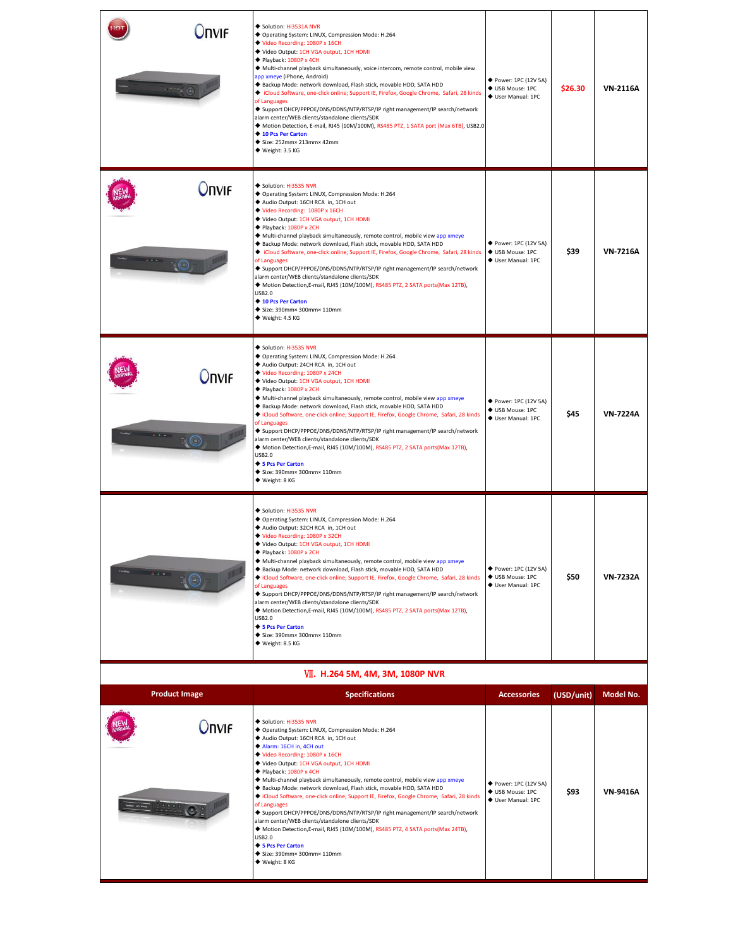| <b>NVIF</b>          | Solution: Hi3531A NVR<br>◆ Operating System: LINUX, Compression Mode: H.264<br>◆ Video Recording: 1080P x 16CH<br>◆ Video Output: 1CH VGA output, 1CH HDMI<br>◆ Playback: 1080P x 4CH<br>◆ Multi-channel playback simultaneously, voice intercom, remote control, mobile view<br>app xmeye (iPhone, Android)<br>◆ Backup Mode: network download, Flash stick, movable HDD, SATA HDD<br>◆ iCloud Software, one-click online; Support IE, Firefox, Google Chrome, Safari, 28 kinds<br>of Languages<br>◆ Support DHCP/PPPOE/DNS/DDNS/NTP/RTSP/IP right management/IP search/network<br>alarm center/WEB clients/standalone clients/SDK<br>◆ Motion Detection, E-mail, RJ45 (10M/100M), RS485 PTZ, 1 SATA port (Max 6TB), USB2.0<br>◆ 10 Pcs Per Carton<br>Size: 252mm× 213mm× 42mm<br>◆ Weight: 3.5 KG                     | ◆ Power: 1PC (12V 5A)<br>♦ USB Mouse: 1PC<br>♦ User Manual: 1PC | \$26.30    | <b>VN-2116A</b> |
|----------------------|-------------------------------------------------------------------------------------------------------------------------------------------------------------------------------------------------------------------------------------------------------------------------------------------------------------------------------------------------------------------------------------------------------------------------------------------------------------------------------------------------------------------------------------------------------------------------------------------------------------------------------------------------------------------------------------------------------------------------------------------------------------------------------------------------------------------------|-----------------------------------------------------------------|------------|-----------------|
| Onvif                | Solution: Hi3535 NVR<br>◆ Operating System: LINUX, Compression Mode: H.264<br>Audio Output: 16CH RCA in, 1CH out<br>Video Recording: 1080P x 16CH<br>◆ Video Output: 1CH VGA output, 1CH HDMI<br>◆ Playback: 1080P x 2CH<br>◆ Multi-channel playback simultaneously, remote control, mobile view app xmeye<br>◆ Backup Mode: network download, Flash stick, movable HDD, SATA HDD<br>◆ iCloud Software, one-click online; Support IE, Firefox, Google Chrome, Safari, 28 kinds<br>of Languages<br>◆ Support DHCP/PPPOE/DNS/DDNS/NTP/RTSP/IP right management/IP search/network<br>alarm center/WEB clients/standalone clients/SDK<br>◆ Motion Detection, E-mail, RJ45 (10M/100M), RS485 PTZ, 2 SATA ports(Max 12TB),<br><b>USB2.0</b><br>◆ 10 Pcs Per Carton<br>◆ Size: 390mm× 300mm× 110mm<br>◆ Weight: 4.5 KG         | ◆ Power: 1PC (12V 5A)<br>♦ USB Mouse: 1PC<br>♦ User Manual: 1PC | \$39       | <b>VN-7216A</b> |
| <b>Onvif</b>         | Solution: Hi3535 NVR<br>◆ Operating System: LINUX, Compression Mode: H.264<br>Audio Output: 24CH RCA in, 1CH out<br>◆ Video Recording: 1080P x 24CH<br>Video Output: 1CH VGA output, 1CH HDMI<br>◆ Playback: 1080P x 2CH<br>◆ Multi-channel playback simultaneously, remote control, mobile view app xmeye<br>◆ Backup Mode: network download, Flash stick, movable HDD, SATA HDD<br>Cloud Software, one-click online; Support IE, Firefox, Google Chrome, Safari, 28 kinds<br>of Languages<br>◆ Support DHCP/PPPOE/DNS/DDNS/NTP/RTSP/IP right management/IP search/network<br>alarm center/WEB clients/standalone clients/SDK<br>◆ Motion Detection, E-mail, RJ45 (10M/100M), RS485 PTZ, 2 SATA ports(Max 12TB),<br><b>USB2.0</b><br>◆ 5 Pcs Per Carton<br>Size: 390mm× 300mm× 110mm<br>◆ Weight: 8 KG                 | ◆ Power: 1PC (12V 5A)<br>♦ USB Mouse: 1PC<br>♦ User Manual: 1PC | \$45       | <b>VN-7224A</b> |
|                      | Solution: Hi3535 NVR<br>◆ Operating System: LINUX, Compression Mode: H.264<br>Audio Output: 32CH RCA in, 1CH out<br>◆ Video Recording: 1080P x 32CH<br>Video Output: 1CH VGA output, 1CH HDMI<br>$\blacklozenge$ Playback: 1080P x 2CH<br>◆ Multi-channel playback simultaneously, remote control, mobile view app xmeye<br>Backup Mode: network download, Flash stick, movable HDD, SATA HDD<br>Cloud Software, one-click online; Support IE, Firefox, Google Chrome, Safari, 28 kinds<br>of Languages<br>◆ Support DHCP/PPPOE/DNS/DDNS/NTP/RTSP/IP right management/IP search/network<br>alarm center/WEB clients/standalone clients/SDK<br>◆ Motion Detection, E-mail, RJ45 (10M/100M), RS485 PTZ, 2 SATA ports(Max 12TB),<br><b>USB2.0</b><br>◆ 5 Pcs Per Carton<br>◆ Size: 390mm× 300mm× 110mm<br>◆ Weight: 8.5 KG | ◆ Power: 1PC (12V 5A)<br>♦ USB Mouse: 1PC<br>♦ User Manual: 1PC | \$50       | <b>VN-7232A</b> |
|                      | VII. H.264 5M, 4M, 3M, 1080P NVR                                                                                                                                                                                                                                                                                                                                                                                                                                                                                                                                                                                                                                                                                                                                                                                        |                                                                 |            |                 |
| <b>Product Image</b> | <b>Specifications</b>                                                                                                                                                                                                                                                                                                                                                                                                                                                                                                                                                                                                                                                                                                                                                                                                   | <b>Accessories</b>                                              | (USD/unit) | Model No.       |

| <b>Product Image</b> | <b>Specifications</b>                                                                                                                                                                                                                                                                                                                                                                                                                                                                                                                                                                                                                                                                                                                                                                                                                                   | <b>Accessories</b>                                              | (USD/unit) | <b>Model No.</b> |
|----------------------|---------------------------------------------------------------------------------------------------------------------------------------------------------------------------------------------------------------------------------------------------------------------------------------------------------------------------------------------------------------------------------------------------------------------------------------------------------------------------------------------------------------------------------------------------------------------------------------------------------------------------------------------------------------------------------------------------------------------------------------------------------------------------------------------------------------------------------------------------------|-----------------------------------------------------------------|------------|------------------|
| <b>Onvif</b>         | Solution: Hi3535 NVR<br>◆ Operating System: LINUX, Compression Mode: H.264<br>Audio Output: 16CH RCA in, 1CH out<br>Alarm: 16CH in, 4CH out<br>◆ Video Recording: 1080P x 16CH<br>♦ Video Output: 1CH VGA output, 1CH HDMI<br>◆ Playback: 1080P x 4CH<br>◆ Multi-channel playback simultaneously, remote control, mobile view app xmeye<br>◆ Backup Mode: network download, Flash stick, movable HDD, SATA HDD<br>◆ iCloud Software, one-click online; Support IE, Firefox, Google Chrome, Safari, 28 kinds<br>of Languages<br>◆ Support DHCP/PPPOE/DNS/DDNS/NTP/RTSP/IP right management/IP search/network<br>alarm center/WEB clients/standalone clients/SDK<br>◆ Motion Detection, E-mail, RJ45 (10M/100M), RS485 PTZ, 4 SATA ports(Max 24TB),<br><b>USB2.0</b><br>♦ 5 Pcs Per Carton<br>$\blacklozenge$ Size: 390mm× 300mm× 110mm<br>◆ Weight: 8 KG | ◆ Power: 1PC (12V 5A)<br>♦ USB Mouse: 1PC<br>♦ User Manual: 1PC | \$93       | <b>VN-9416A</b>  |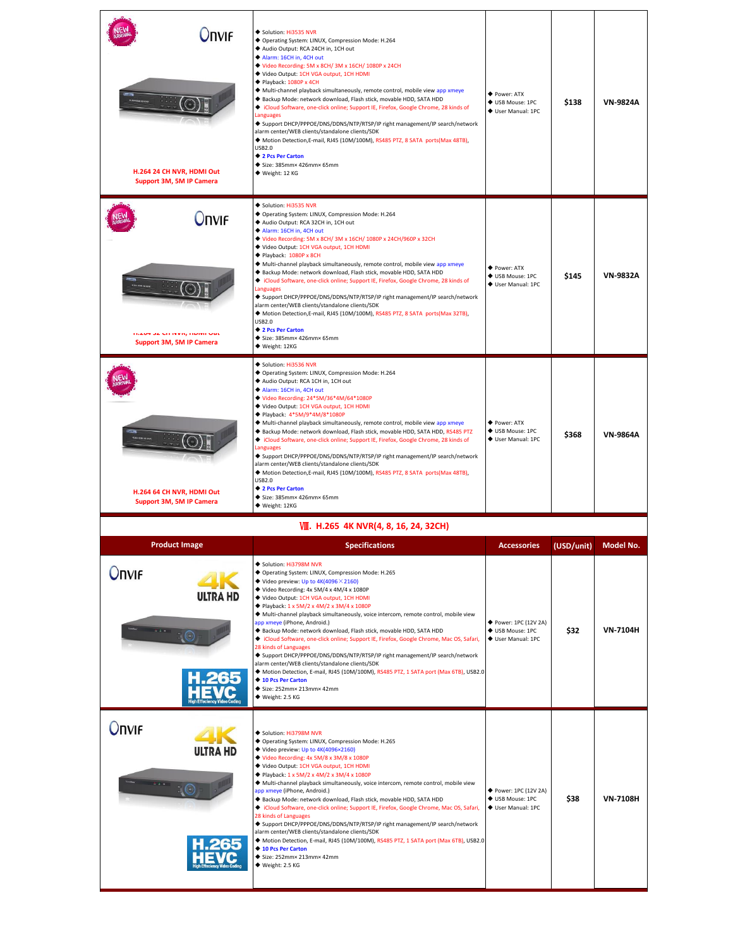| Onvif<br>H.264 24 CH NVR, HDMI Out<br>Support 3M, 5M IP Camera                 | Solution: Hi3535 NVR<br>◆ Operating System: LINUX, Compression Mode: H.264<br>Audio Output: RCA 24CH in, 1CH out<br>Alarm: 16CH in, 4CH out<br>Video Recording: 5M x 8CH/3M x 16CH/1080P x 24CH<br>◆ Video Output: 1CH VGA output, 1CH HDMI<br>◆ Playback: 1080P x 4CH<br>◆ Multi-channel playback simultaneously, remote control, mobile view app xmeye<br>◆ Backup Mode: network download, Flash stick, movable HDD, SATA HDD<br>Cloud Software, one-click online; Support IE, Firefox, Google Chrome, 28 kinds of<br>Languages<br>◆ Support DHCP/PPPOE/DNS/DDNS/NTP/RTSP/IP right management/IP search/network<br>alarm center/WEB clients/standalone clients/SDK<br>◆ Motion Detection,E-mail, RJ45 (10M/100M), RS485 PTZ, 8 SATA ports(Max 48TB),<br><b>USB2.0</b><br>◆ 2 Pcs Per Carton<br>Size: 385mm× 426mm× 65mm<br>◆ Weight: 12 KG                                                             | ◆ Power: ATX<br>◆ USB Mouse: 1PC<br>♦ User Manual: 1PC          | \$138      | <b>VN-9824A</b> |
|--------------------------------------------------------------------------------|----------------------------------------------------------------------------------------------------------------------------------------------------------------------------------------------------------------------------------------------------------------------------------------------------------------------------------------------------------------------------------------------------------------------------------------------------------------------------------------------------------------------------------------------------------------------------------------------------------------------------------------------------------------------------------------------------------------------------------------------------------------------------------------------------------------------------------------------------------------------------------------------------------|-----------------------------------------------------------------|------------|-----------------|
| <b>Onvif</b><br><b>MADY 34 UM IVVN, MUIVIL OUL</b><br>Support 3M, 5M IP Camera | Solution: Hi3535 NVR<br>◆ Operating System: LINUX, Compression Mode: H.264<br>Audio Output: RCA 32CH in, 1CH out<br>Alarm: 16CH in, 4CH out<br>◆ Video Recording: 5M x 8CH/ 3M x 16CH/ 1080P x 24CH/960P x 32CH<br>◆ Video Output: 1CH VGA output, 1CH HDMI<br>◆ Playback: 1080P x 8CH<br>Multi-channel playback simultaneously, remote control, mobile view app xmeye<br>◆ Backup Mode: network download, Flash stick, movable HDD, SATA HDD<br>◆ iCloud Software, one-click online; Support IE, Firefox, Google Chrome, 28 kinds of<br>Languages<br>◆ Support DHCP/PPPOE/DNS/DDNS/NTP/RTSP/IP right management/IP search/network<br>alarm center/WEB clients/standalone clients/SDK<br>◆ Motion Detection,E-mail, RJ45 (10M/100M), RS485 PTZ, 8 SATA ports(Max 32TB),<br><b>USB2.0</b><br>◆ 2 Pcs Per Carton<br>◆ Size: 385mm× 426mm× 65mm<br>◆ Weight: 12KG                                           | ◆ Power: ATX<br>♦ USB Mouse: 1PC<br>♦ User Manual: 1PC          | \$145      | <b>VN-9832A</b> |
| H.264 64 CH NVR, HDMI Out<br>Support 3M, 5M IP Camera                          | Solution: Hi3536 NVR<br>◆ Operating System: LINUX, Compression Mode: H.264<br>Audio Output: RCA 1CH in, 1CH out<br>Alarm: 16CH in, 4CH out<br>◆ Video Recording: 24*5M/36*4M/64*1080P<br>◆ Video Output: 1CH VGA output, 1CH HDMI<br>◆ Playback: 4*5M/9*4M/8*1080P<br>Multi-channel playback simultaneously, remote control, mobile view app xmeye<br>◆ Backup Mode: network download, Flash stick, movable HDD, SATA HDD, RS485 PTZ<br>Cloud Software, one-click online; Support IE, Firefox, Google Chrome, 28 kinds of<br>Languages<br>◆ Support DHCP/PPPOE/DNS/DDNS/NTP/RTSP/IP right management/IP search/network<br>alarm center/WEB clients/standalone clients/SDK<br>◆ Motion Detection,E-mail, RJ45 (10M/100M), RS485 PTZ, 8 SATA ports(Max 48TB),<br><b>USB2.0</b><br>◆ 2 Pcs Per Carton<br>$\blacklozenge$ Size: 385mm× 426mm× 65mm<br>◆ Weight: 12KG                                         | ◆ Power: ATX<br>♦ USB Mouse: 1PC<br>♦ User Manual: 1PC          | \$368      | <b>VN-9864A</b> |
|                                                                                | VII. H.265 4K NVR(4, 8, 16, 24, 32CH)                                                                                                                                                                                                                                                                                                                                                                                                                                                                                                                                                                                                                                                                                                                                                                                                                                                                    |                                                                 |            |                 |
| Product Image                                                                  | Specifications                                                                                                                                                                                                                                                                                                                                                                                                                                                                                                                                                                                                                                                                                                                                                                                                                                                                                           | <b>Accessories</b>                                              | (USD/unit) | - Model No.     |
| <b>Onvir</b><br>ULTRA HD                                                       | Solution: Hi3798M NVR<br>◆ Operating System: LINUX, Compression Mode: H.265<br>$\blacklozenge$ Video preview: Up to 4K(4096 $\times$ 2160)<br>◆ Video Recording: 4x 5M/4 x 4M/4 x 1080P<br>◆ Video Output: 1CH VGA output, 1CH HDMI<br>◆ Playback: 1 x 5M/2 x 4M/2 x 3M/4 x 1080P<br>◆ Multi-channel playback simultaneously, voice intercom, remote control, mobile view<br>app xmeye (iPhone, Android.)<br>◆ Backup Mode: network download, Flash stick, movable HDD, SATA HDD<br>◆ iCloud Software, one-click online; Support IE, Firefox, Google Chrome, Mac OS, Safari,<br>28 kinds of Languages<br>◆ Support DHCP/PPPOE/DNS/DDNS/NTP/RTSP/IP right management/IP search/network<br>alarm center/WEB clients/standalone clients/SDK<br>◆ Motion Detection, E-mail, RJ45 (10M/100M), RS485 PTZ, 1 SATA port (Max 6TB), USB2.0<br>◆ 10 Pcs Per Carton<br>Size: 252mm× 213mm× 42mm<br>◆ Weight: 2.5 KG | ◆ Power: 1PC (12V 2A)<br>♦ USB Mouse: 1PC<br>♦ User Manual: 1PC | \$32       | <b>VN-7104H</b> |
| <b>Onvir</b><br>ULTRA HD                                                       | Solution: Hi3798M NVR<br>◆ Operating System: LINUX, Compression Mode: H.265<br>◆ Video preview: Up to 4K(4096×2160)<br>Video Recording: 4x 5M/8 x 3M/8 x 1080P<br>Video Output: 1CH VGA output, 1CH HDMI<br>◆ Playback: 1 x 5M/2 x 4M/2 x 3M/4 x 1080P<br>◆ Multi-channel playback simultaneously, voice intercom, remote control, mobile view<br>app xmeye (iPhone, Android.)<br>Backup Mode: network download, Flash stick, movable HDD, SATA HDD<br>◆ iCloud Software, one-click online; Support IE, Firefox, Google Chrome, Mac OS, Safari,<br>28 kinds of Languages<br>◆ Support DHCP/PPPOE/DNS/DDNS/NTP/RTSP/IP right management/IP search/network<br>alarm center/WEB clients/standalone clients/SDK<br>◆ Motion Detection, E-mail, RJ45 (10M/100M), RS485 PTZ, 1 SATA port (Max 6TB), USB2.0<br>◆ 10 Pcs Per Carton<br>Size: 252mm× 213mm× 42mm<br>◆ Weight: 2.5 KG                              | ◆ Power: 1PC (12V 2A)<br>♦ USB Mouse: 1PC<br>♦ User Manual: 1PC | \$38       | <b>VN-7108H</b> |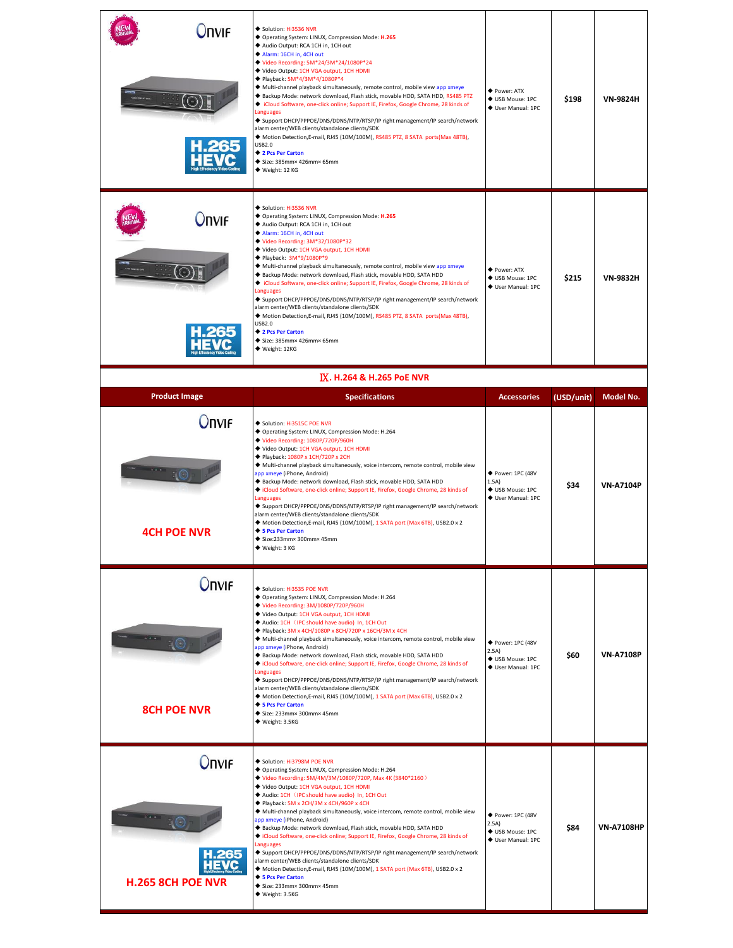| Onvif                              | Solution: Hi3536 NVR<br>◆ Operating System: LINUX, Compression Mode: H.265<br>Audio Output: RCA 1CH in, 1CH out<br>Alarm: 16CH in, 4CH out<br>◆ Video Recording: 5M*24/3M*24/1080P*24<br>◆ Video Output: 1CH VGA output, 1CH HDMI<br>◆ Playback: 5M*4/3M*4/1080P*4<br>Multi-channel playback simultaneously, remote control, mobile view app xmeye<br>◆ Backup Mode: network download, Flash stick, movable HDD, SATA HDD, RS485 PTZ<br>Cloud Software, one-click online; Support IE, Firefox, Google Chrome, 28 kinds of<br>Languages<br>◆ Support DHCP/PPPOE/DNS/DDNS/NTP/RTSP/IP right management/IP search/network<br>alarm center/WEB clients/standalone clients/SDK<br>◆ Motion Detection, E-mail, RJ45 (10M/100M), RS485 PTZ, 8 SATA ports(Max 48TB),<br>USB2.0<br>◆ 2 Pcs Per Carton<br>Size: 385mm× 426mm× 65mm<br>◆ Weight: 12 KG                            | ◆ Power: ATX<br>♦ USB Mouse: 1PC<br>♦ User Manual: 1PC               | \$198      | <b>VN-9824H</b>  |
|------------------------------------|------------------------------------------------------------------------------------------------------------------------------------------------------------------------------------------------------------------------------------------------------------------------------------------------------------------------------------------------------------------------------------------------------------------------------------------------------------------------------------------------------------------------------------------------------------------------------------------------------------------------------------------------------------------------------------------------------------------------------------------------------------------------------------------------------------------------------------------------------------------------|----------------------------------------------------------------------|------------|------------------|
| <b>Onvif</b>                       | Solution: Hi3536 NVR<br>◆ Operating System: LINUX, Compression Mode: H.265<br>Audio Output: RCA 1CH in, 1CH out<br>Alarm: 16CH in, 4CH out<br>◆ Video Recording: 3M*32/1080P*32<br>◆ Video Output: 1CH VGA output, 1CH HDMI<br>◆ Playback: 3M*9/1080P*9<br>◆ Multi-channel playback simultaneously, remote control, mobile view app xmeye<br>Backup Mode: network download, Flash stick, movable HDD, SATA HDD<br>Cloud Software, one-click online; Support IE, Firefox, Google Chrome, 28 kinds of<br><b>Languages</b><br>◆ Support DHCP/PPPOE/DNS/DDNS/NTP/RTSP/IP right management/IP search/network<br>alarm center/WEB clients/standalone clients/SDK<br>◆ Motion Detection, E-mail, RJ45 (10M/100M), RS485 PTZ, 8 SATA ports(Max 48TB),<br>USB2.0<br>◆ 2 Pcs Per Carton<br>Size: 385mm× 426mm× 65mm<br>◆ Weight: 12KG                                            | ◆ Power: ATX<br>◆ USB Mouse: 1PC<br>♦ User Manual: 1PC               | \$215      | <b>VN-9832H</b>  |
|                                    | IX. H.264 & H.265 PoE NVR                                                                                                                                                                                                                                                                                                                                                                                                                                                                                                                                                                                                                                                                                                                                                                                                                                              |                                                                      |            |                  |
| <b>Product Image</b>               | <b>Specifications</b>                                                                                                                                                                                                                                                                                                                                                                                                                                                                                                                                                                                                                                                                                                                                                                                                                                                  | <b>Accessories</b>                                                   | (USD/unit) | Model No.        |
| <b>Onvif</b>                       | Solution: Hi3515C POE NVR<br>◆ Operating System: LINUX, Compression Mode: H.264<br>◆ Video Recording: 1080P/720P/960H<br>◆ Video Output: 1CH VGA output, 1CH HDMI                                                                                                                                                                                                                                                                                                                                                                                                                                                                                                                                                                                                                                                                                                      |                                                                      |            |                  |
| <b>4CH POE NVR</b>                 | ◆ Playback: 1080P x 1CH/720P x 2CH<br>◆ Multi-channel playback simultaneously, voice intercom, remote control, mobile view<br>app xmeye (iPhone, Android)<br>◆ Backup Mode: network download, Flash stick, movable HDD, SATA HDD<br>Cloud Software, one-click online; Support IE, Firefox, Google Chrome, 28 kinds of<br>Languages<br>◆ Support DHCP/PPPOE/DNS/DDNS/NTP/RTSP/IP right management/IP search/network<br>alarm center/WEB clients/standalone clients/SDK<br>◆ Motion Detection, E-mail, RJ45 (10M/100M), 1 SATA port (Max 6TB), USB2.0 x 2<br>◆ 5 Pcs Per Carton<br>◆ Size:233mm× 300mm× 45mm<br>◆ Weight: 3 KG                                                                                                                                                                                                                                           | ◆ Power: 1PC (48V<br>1.5A)<br>♦ USB Mouse: 1PC<br>♦ User Manual: 1PC | \$34       | <b>VN-A7104P</b> |
| <b>Onvif</b><br><b>8CH POE NVR</b> | Solution: Hi3535 POE NVR<br>◆ Operating System: LINUX, Compression Mode: H.264<br>◆ Video Recording: 3M/1080P/720P/960H<br>Video Output: 1CH VGA output, 1CH HDMI<br>Audio: 1CH (IPC should have audio) In, 1CH Out<br>◆ Playback: 3M x 4CH/1080P x 8CH/720P x 16CH/3M x 4CH<br>◆ Multi-channel playback simultaneously, voice intercom, remote control, mobile view<br>app xmeye (iPhone, Android)<br>◆ Backup Mode: network download, Flash stick, movable HDD, SATA HDD<br>Cloud Software, one-click online; Support IE, Firefox, Google Chrome, 28 kinds of<br>Languages<br>◆ Support DHCP/PPPOE/DNS/DDNS/NTP/RTSP/IP right management/IP search/network<br>alarm center/WEB clients/standalone clients/SDK<br>◆ Motion Detection, E-mail, RJ45 (10M/100M), 1 SATA port (Max 6TB), USB2.0 x 2<br>◆ 5 Pcs Per Carton<br>Size: 233mm× 300mm× 45mm<br>◆ Weight: 3.5KG | ◆ Power: 1PC (48V<br>2.5A)<br>♦ USB Mouse: 1PC<br>♦ User Manual: 1PC | \$60       | <b>VN-A7108P</b> |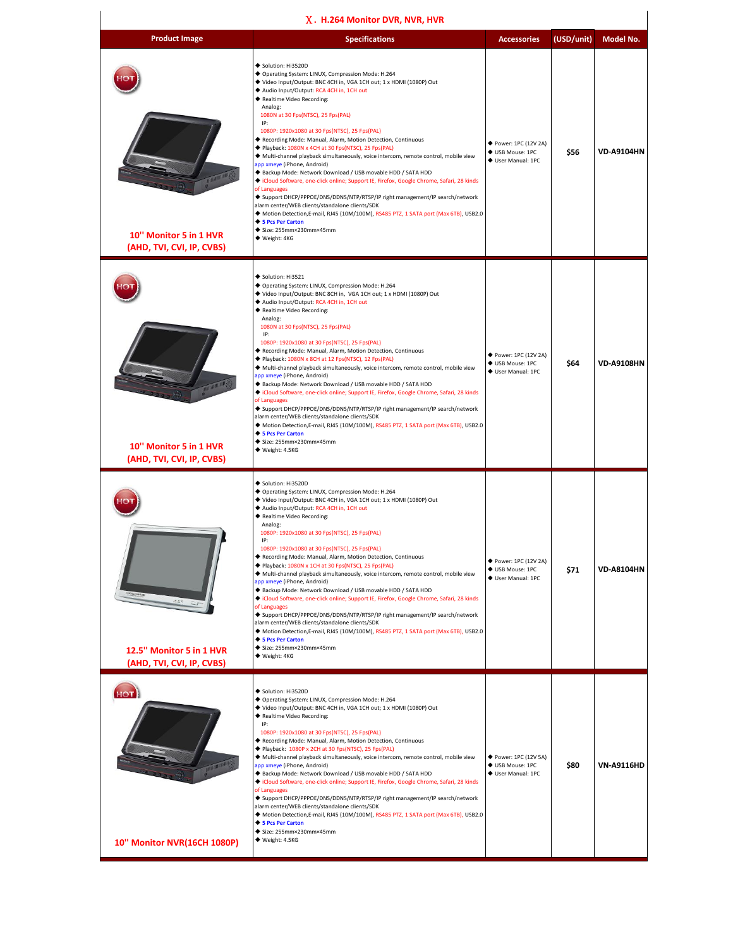| X. H.264 Monitor DVR, NVR, HVR                        |                                                                                                                                                                                                                                                                                                                                                                                                                                                                                                                                                                                                                                                                                                                                                                                                                                                                                                                                                                                                                                                              |                                                                 |            |                   |  |  |
|-------------------------------------------------------|--------------------------------------------------------------------------------------------------------------------------------------------------------------------------------------------------------------------------------------------------------------------------------------------------------------------------------------------------------------------------------------------------------------------------------------------------------------------------------------------------------------------------------------------------------------------------------------------------------------------------------------------------------------------------------------------------------------------------------------------------------------------------------------------------------------------------------------------------------------------------------------------------------------------------------------------------------------------------------------------------------------------------------------------------------------|-----------------------------------------------------------------|------------|-------------------|--|--|
| <b>Product Image</b>                                  | <b>Specifications</b>                                                                                                                                                                                                                                                                                                                                                                                                                                                                                                                                                                                                                                                                                                                                                                                                                                                                                                                                                                                                                                        | <b>Accessories</b>                                              | (USD/unit) | Model No.         |  |  |
| 10" Monitor 5 in 1 HVR<br>(AHD, TVI, CVI, IP, CVBS)   | Solution: Hi3520D<br>◆ Operating System: LINUX, Compression Mode: H.264<br>◆ Video Input/Output: BNC 4CH in, VGA 1CH out; 1 x HDMI (1080P) Out<br>Audio Input/Output: RCA 4CH in, 1CH out<br>◆ Realtime Video Recording:<br>Analog:<br>1080N at 30 Fps(NTSC), 25 Fps(PAL)<br>IP:<br>1080P: 1920x1080 at 30 Fps(NTSC), 25 Fps(PAL)<br>Recording Mode: Manual, Alarm, Motion Detection, Continuous<br>Playback: 1080N x 4CH at 30 Fps(NTSC), 25 Fps(PAL)<br>◆ Multi-channel playback simultaneously, voice intercom, remote control, mobile view<br>app xmeye (iPhone, Android)<br>◆ Backup Mode: Network Download / USB movable HDD / SATA HDD<br>Cloud Software, one-click online; Support IE, Firefox, Google Chrome, Safari, 28 kinds<br>of Languages<br>◆ Support DHCP/PPPOE/DNS/DDNS/NTP/RTSP/IP right management/IP search/network<br>alarm center/WEB clients/standalone clients/SDK<br>◆ Motion Detection, E-mail, RJ45 (10M/100M), RS485 PTZ, 1 SATA port (Max 6TB), USB2.0<br>◆ 5 Pcs Per Carton<br>◆ Size: 255mm×230mm×45mm<br>◆ Weight: 4KG       | ◆ Power: 1PC (12V 2A)<br>♦ USB Mouse: 1PC<br>♦ User Manual: 1PC | \$56       | <b>VD-A9104HN</b> |  |  |
| 10" Monitor 5 in 1 HVR<br>(AHD, TVI, CVI, IP, CVBS)   | Solution: Hi3521<br>◆ Operating System: LINUX, Compression Mode: H.264<br>◆ Video Input/Output: BNC 8CH in, VGA 1CH out; 1 x HDMI (1080P) Out<br>◆ Audio Input/Output: RCA 4CH in, 1CH out<br>◆ Realtime Video Recording:<br>Analog:<br>1080N at 30 Fps(NTSC), 25 Fps(PAL)<br>IP:<br>1080P: 1920x1080 at 30 Fps(NTSC), 25 Fps(PAL)<br>◆ Recording Mode: Manual, Alarm, Motion Detection, Continuous<br>Playback: 1080N x 8CH at 12 Fps(NTSC), 12 Fps(PAL)<br>◆ Multi-channel playback simultaneously, voice intercom, remote control, mobile view<br>app xmeye (iPhone, Android)<br>◆ Backup Mode: Network Download / USB movable HDD / SATA HDD<br>Cloud Software, one-click online; Support IE, Firefox, Google Chrome, Safari, 28 kinds<br>of Languages<br>◆ Support DHCP/PPPOE/DNS/DDNS/NTP/RTSP/IP right management/IP search/network<br>alarm center/WEB clients/standalone clients/SDK<br>◆ Motion Detection, E-mail, RJ45 (10M/100M), RS485 PTZ, 1 SATA port (Max 6TB), USB2.0<br>◆ 5 Pcs Per Carton<br>◆ Size: 255mm×230mm×45mm<br>◆ Weight: 4.5KG  | ◆ Power: 1PC (12V 2A)<br>♦ USB Mouse: 1PC<br>♦ User Manual: 1PC | \$64       | <b>VD-A9108HN</b> |  |  |
| 12.5" Monitor 5 in 1 HVR<br>(AHD, TVI, CVI, IP, CVBS) | Solution: Hi3520D<br>◆ Operating System: LINUX, Compression Mode: H.264<br>◆ Video Input/Output: BNC 4CH in, VGA 1CH out; 1 x HDMI (1080P) Out<br>Audio Input/Output: RCA 4CH in, 1CH out<br>◆ Realtime Video Recording:<br>Analog:<br>1080P: 1920x1080 at 30 Fps(NTSC), 25 Fps(PAL)<br>1080P: 1920x1080 at 30 Fps(NTSC), 25 Fps(PAL)<br>◆ Recording Mode: Manual, Alarm, Motion Detection, Continuous<br>Playback: 1080N x 1CH at 30 Fps(NTSC), 25 Fps(PAL)<br>◆ Multi-channel playback simultaneously, voice intercom, remote control, mobile view<br>app xmeye (iPhone, Android)<br>◆ Backup Mode: Network Download / USB movable HDD / SATA HDD<br>Cloud Software, one-click online; Support IE, Firefox, Google Chrome, Safari, 28 kinds<br>of Languages<br>◆ Support DHCP/PPPOE/DNS/DDNS/NTP/RTSP/IP right management/IP search/network<br>alarm center/WEB clients/standalone clients/SDK<br>◆ Motion Detection, E-mail, RJ45 (10M/100M), RS485 PTZ, 1 SATA port (Max 6TB), USB2.0<br>◆ 5 Pcs Per Carton<br>◆ Size: 255mm×230mm×45mm<br>◆ Weight: 4KG | ◆ Power: 1PC (12V 2A)<br>♦ USB Mouse: 1PC<br>♦ User Manual: 1PC | \$71       | <b>VD-A8104HN</b> |  |  |
| 10T<br>10" Monitor NVR(16CH 1080P)                    | Solution: Hi3520D<br>◆ Operating System: LINUX, Compression Mode: H.264<br>◆ Video Input/Output: BNC 4CH in, VGA 1CH out; 1 x HDMI (1080P) Out<br>◆ Realtime Video Recording:<br>IP:<br>1080P: 1920x1080 at 30 Fps(NTSC), 25 Fps(PAL)<br>◆ Recording Mode: Manual, Alarm, Motion Detection, Continuous<br>Playback: 1080P x 2CH at 30 Fps(NTSC), 25 Fps(PAL)<br>◆ Multi-channel playback simultaneously, voice intercom, remote control, mobile view<br>app xmeye (iPhone, Android)<br>◆ Backup Mode: Network Download / USB movable HDD / SATA HDD<br>Cloud Software, one-click online; Support IE, Firefox, Google Chrome, Safari, 28 kinds<br>of Languages<br>◆ Support DHCP/PPPOE/DNS/DDNS/NTP/RTSP/IP right management/IP search/network<br>alarm center/WEB clients/standalone clients/SDK<br>◆ Motion Detection, E-mail, RJ45 (10M/100M), RS485 PTZ, 1 SATA port (Max 6TB), USB2.0<br>◆ 5 Pcs Per Carton<br>◆ Size: 255mm×230mm×45mm<br>◆ Weight: 4.5KG                                                                                               | ◆ Power: 1PC (12V 5A)<br>♦ USB Mouse: 1PC<br>♦ User Manual: 1PC | \$80       | <b>VN-A9116HD</b> |  |  |